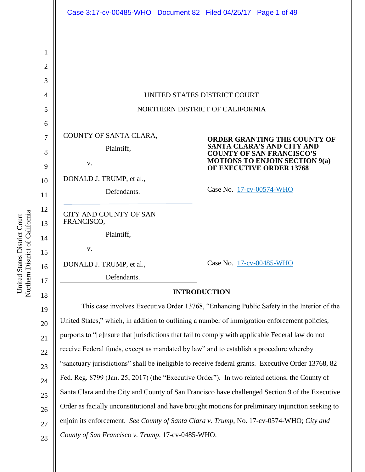|                | Case 3:17-cv-00485-WHO  Document 82  Filed 04/25/17  Page 1 of 49                               |                                                                          |  |
|----------------|-------------------------------------------------------------------------------------------------|--------------------------------------------------------------------------|--|
|                |                                                                                                 |                                                                          |  |
| 1              |                                                                                                 |                                                                          |  |
| $\overline{2}$ |                                                                                                 |                                                                          |  |
| 3              |                                                                                                 |                                                                          |  |
| $\overline{4}$ | UNITED STATES DISTRICT COURT                                                                    |                                                                          |  |
| 5              | NORTHERN DISTRICT OF CALIFORNIA                                                                 |                                                                          |  |
| 6              |                                                                                                 |                                                                          |  |
| 7              | COUNTY OF SANTA CLARA,                                                                          | <b>ORDER GRANTING THE COUNTY OF</b><br><b>SANTA CLARA'S AND CITY AND</b> |  |
| 8              | Plaintiff,                                                                                      | <b>COUNTY OF SAN FRANCISCO'S</b>                                         |  |
| 9              | v.                                                                                              | <b>MOTIONS TO ENJOIN SECTION 9(a)</b><br>OF EXECUTIVE ORDER 13768        |  |
| 10             | DONALD J. TRUMP, et al.,                                                                        |                                                                          |  |
| 11             | Defendants.                                                                                     | Case No. 17-cv-00574-WHO                                                 |  |
| 12<br>13       | <b>CITY AND COUNTY OF SAN</b><br>FRANCISCO,                                                     |                                                                          |  |
| 14             | Plaintiff,                                                                                      |                                                                          |  |
| 15             | V.                                                                                              |                                                                          |  |
| 16             | DONALD J. TRUMP, et al.,                                                                        | Case No. 17-cv-00485-WHO                                                 |  |
| 17             | Defendants.                                                                                     |                                                                          |  |
| 18             | <b>INTRODUCTION</b>                                                                             |                                                                          |  |
| 19             | This case involves Executive Order 13768, "Enhancing Public Safety in the Interior of the       |                                                                          |  |
| 20             | United States," which, in addition to outlining a number of immigration enforcement policies,   |                                                                          |  |
| 21             | purports to "[e]nsure that jurisdictions that fail to comply with applicable Federal law do not |                                                                          |  |
| 22             | receive Federal funds, except as mandated by law" and to establish a procedure whereby          |                                                                          |  |

1: 16  $1^{\circ}$ 18 19  $\overline{2}$  $\overline{2}$  $2<sup>2</sup>$ 23 24 25 26 27 "sanctuary jurisdictions" shall be ineligible to receive federal grants. Executive Order 13768, 82 Fed. Reg. 8799 (Jan. 25, 2017) (the "Executive Order"). In two related actions, the County of Santa Clara and the City and County of San Francisco have challenged Section 9 of the Executive Order as facially unconstitutional and have brought motions for preliminary injunction seeking to enjoin its enforcement. *See County of Santa Clara v. Trump*, No. 17-cv-0574-WHO; *City and County of San Francisco v. Trump*, 17-cv-0485-WHO.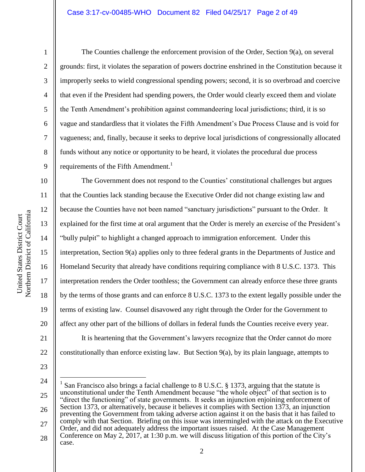Northern District of California Northern District of California United States District Court United States District Court

1

2

3

4

5

6

7

8

9

11

12

13

14

15

17

18

19

21

The Counties challenge the enforcement provision of the Order, Section 9(a), on several grounds: first, it violates the separation of powers doctrine enshrined in the Constitution because it improperly seeks to wield congressional spending powers; second, it is so overbroad and coercive that even if the President had spending powers, the Order would clearly exceed them and violate the Tenth Amendment's prohibition against commandeering local jurisdictions; third, it is so vague and standardless that it violates the Fifth Amendment's Due Process Clause and is void for vagueness; and, finally, because it seeks to deprive local jurisdictions of congressionally allocated funds without any notice or opportunity to be heard, it violates the procedural due process requirements of the Fifth Amendment.<sup>1</sup>

10 16 20 22 The Government does not respond to the Counties' constitutional challenges but argues that the Counties lack standing because the Executive Order did not change existing law and because the Counties have not been named "sanctuary jurisdictions" pursuant to the Order. It explained for the first time at oral argument that the Order is merely an exercise of the President's "bully pulpit" to highlight a changed approach to immigration enforcement. Under this interpretation, Section 9(a) applies only to three federal grants in the Departments of Justice and Homeland Security that already have conditions requiring compliance with 8 U.S.C. 1373. This interpretation renders the Order toothless; the Government can already enforce these three grants by the terms of those grants and can enforce 8 U.S.C. 1373 to the extent legally possible under the terms of existing law. Counsel disavowed any right through the Order for the Government to affect any other part of the billions of dollars in federal funds the Counties receive every year. It is heartening that the Government's lawyers recognize that the Order cannot do more constitutionally than enforce existing law. But Section 9(a), by its plain language, attempts to

23

24

 $\overline{a}$ 

<sup>25</sup> 26 27 28 1 San Francisco also brings a facial challenge to 8 U.S.C. § 1373, arguing that the statute is unconstitutional under the Tenth Amendment because "the whole object" of that section is to "direct the functioning" of state governments. It seeks an injunction enjoining enforcement of Section 1373, or alternatively, because it believes it complies with Section 1373, an injunction preventing the Government from taking adverse action against it on the basis that it has failed to comply with that Section. Briefing on this issue was intermingled with the attack on the Executive Order, and did not adequately address the important issues raised. At the Case Management Conference on May 2, 2017, at 1:30 p.m. we will discuss litigation of this portion of the City's case.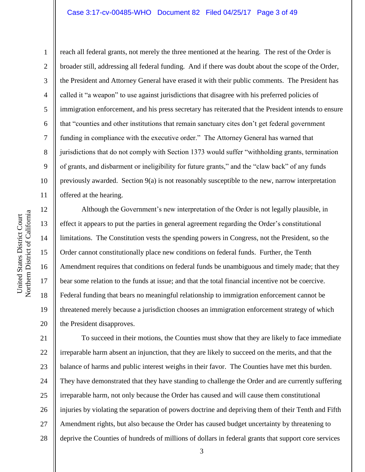#### Case 3:17-cv-00485-WHO Document 82 Filed 04/25/17 Page 3 of 49

10 11

1

2

3

4

5

6

7

8

9

reach all federal grants, not merely the three mentioned at the hearing. The rest of the Order is broader still, addressing all federal funding. And if there was doubt about the scope of the Order, the President and Attorney General have erased it with their public comments. The President has called it "a weapon" to use against jurisdictions that disagree with his preferred policies of immigration enforcement, and his press secretary has reiterated that the President intends to ensure that "counties and other institutions that remain sanctuary cites don't get federal government funding in compliance with the executive order." The Attorney General has warned that jurisdictions that do not comply with Section 1373 would suffer "withholding grants, termination of grants, and disbarment or ineligibility for future grants," and the "claw back" of any funds previously awarded. Section  $9(a)$  is not reasonably susceptible to the new, narrow interpretation offered at the hearing.

12 13 14 15 16 17 18 19 20 Although the Government's new interpretation of the Order is not legally plausible, in effect it appears to put the parties in general agreement regarding the Order's constitutional limitations. The Constitution vests the spending powers in Congress, not the President, so the Order cannot constitutionally place new conditions on federal funds. Further, the Tenth Amendment requires that conditions on federal funds be unambiguous and timely made; that they bear some relation to the funds at issue; and that the total financial incentive not be coercive. Federal funding that bears no meaningful relationship to immigration enforcement cannot be threatened merely because a jurisdiction chooses an immigration enforcement strategy of which the President disapproves.

21 22 23 24 25 26 27 28 To succeed in their motions, the Counties must show that they are likely to face immediate irreparable harm absent an injunction, that they are likely to succeed on the merits, and that the balance of harms and public interest weighs in their favor. The Counties have met this burden. They have demonstrated that they have standing to challenge the Order and are currently suffering irreparable harm, not only because the Order has caused and will cause them constitutional injuries by violating the separation of powers doctrine and depriving them of their Tenth and Fifth Amendment rights, but also because the Order has caused budget uncertainty by threatening to deprive the Counties of hundreds of millions of dollars in federal grants that support core services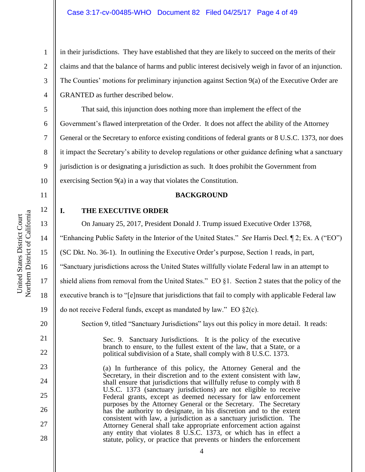### Case 3:17-cv-00485-WHO Document 82 Filed 04/25/17 Page 4 of 49

in their jurisdictions. They have established that they are likely to succeed on the merits of their claims and that the balance of harms and public interest decisively weigh in favor of an injunction. The Counties' motions for preliminary injunction against Section 9(a) of the Executive Order are GRANTED as further described below.

5 6 7 8 9 10 That said, this injunction does nothing more than implement the effect of the Government's flawed interpretation of the Order. It does not affect the ability of the Attorney General or the Secretary to enforce existing conditions of federal grants or 8 U.S.C. 1373, nor does it impact the Secretary's ability to develop regulations or other guidance defining what a sanctuary jurisdiction is or designating a jurisdiction as such. It does prohibit the Government from exercising Section 9(a) in a way that violates the Constitution.

11

12

13

14

16

20

21

22

23

24

25

26

27

28

1

2

3

4

## **BACKGROUND**

**I. THE EXECUTIVE ORDER**

On January 25, 2017, President Donald J. Trump issued Executive Order 13768,

"Enhancing Public Safety in the Interior of the United States." *See* Harris Decl. ¶ 2; Ex. A ("EO")

15 (SC Dkt. No. 36-1). In outlining the Executive Order's purpose, Section 1 reads, in part,

"Sanctuary jurisdictions across the United States willfully violate Federal law in an attempt to

17 shield aliens from removal from the United States." EO §1. Section 2 states that the policy of the

18 executive branch is to "[e]nsure that jurisdictions that fail to comply with applicable Federal law

19 do not receive Federal funds, except as mandated by law." EO §2(c).

Section 9, titled "Sanctuary Jurisdictions" lays out this policy in more detail. It reads:

Sec. 9. Sanctuary Jurisdictions. It is the policy of the executive branch to ensure, to the fullest extent of the law, that a State, or a political subdivision of a State, shall comply with 8 U.S.C. 1373.

(a) In furtherance of this policy, the Attorney General and the Secretary, in their discretion and to the extent consistent with law, shall ensure that jurisdictions that willfully refuse to comply with 8 U.S.C. 1373 (sanctuary jurisdictions) are not eligible to receive Federal grants, except as deemed necessary for law enforcement purposes by the Attorney General or the Secretary. The Secretary has the authority to designate, in his discretion and to the extent consistent with law, a jurisdiction as a sanctuary jurisdiction. The Attorney General shall take appropriate enforcement action against any entity that violates 8 U.S.C. 1373, or which has in effect a statute, policy, or practice that prevents or hinders the enforcement

Northern District of California Northern District of California United States District Court United States District Court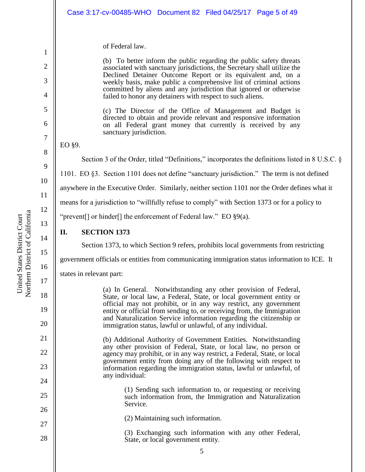| of Federal law.<br>(b) To better inform the public regarding the public safety threats<br>associated with sanctuary jurisdictions, the Secretary shall utilize the<br>Declined Detainer Outcome Report or its equivalent and, on a<br>weekly basis, make public a comprehensive list of criminal actions<br>committed by aliens and any jurisdiction that ignored or otherwise<br>failed to honor any detainers with respect to such aliens.<br>(c) The Director of the Office of Management and Budget is<br>directed to obtain and provide relevant and responsive information<br>on all Federal grant money that currently is received by any<br>sanctuary jurisdiction.<br>EO §9.<br>Section 3 of the Order, titled "Definitions," incorporates the definitions listed in 8 U.S.C. §<br>1101. EO §3. Section 1101 does not define "sanctuary jurisdiction." The term is not defined<br>anywhere in the Executive Order. Similarly, neither section 1101 nor the Order defines what it<br>means for a jurisdiction to "willfully refuse to comply" with Section 1373 or for a policy to<br>"prevent[] or hinder[] the enforcement of Federal law." EO $\S9(a)$ .<br><b>SECTION 1373</b><br>II.<br>Section 1373, to which Section 9 refers, prohibits local governments from restricting<br>government officials or entities from communicating immigration status information to ICE. It<br>states in relevant part:<br>(a) In General. Notwithstanding any other provision of Federal,<br>State, or local law, a Federal, State, or local government entity or<br>official may not prohibit, or in any way restrict, any government<br>entity or official from sending to, or receiving from, the Immigration<br>and Naturalization Service information regarding the citizenship or<br>immigration status, lawful or unlawful, of any individual.<br>(b) Additional Authority of Government Entities. Notwithstanding<br>any other provision of Federal, State, or local law, no person or<br>agency may prohibit, or in any way restrict, a Federal, State, or local<br>government entity from doing any of the following with respect to<br>information regarding the immigration status, lawful or unlawful, of<br>any individual:<br>(1) Sending such information to, or requesting or receiving<br>such information from, the Immigration and Naturalization<br>Service.<br>(2) Maintaining such information.<br>(3) Exchanging such information with any other Federal,<br>State, or local government entity.<br>5 | Case 3:17-cv-00485-WHO  Document 82  Filed 04/25/17  Page 5 of 49 |  |  |
|-------------------------------------------------------------------------------------------------------------------------------------------------------------------------------------------------------------------------------------------------------------------------------------------------------------------------------------------------------------------------------------------------------------------------------------------------------------------------------------------------------------------------------------------------------------------------------------------------------------------------------------------------------------------------------------------------------------------------------------------------------------------------------------------------------------------------------------------------------------------------------------------------------------------------------------------------------------------------------------------------------------------------------------------------------------------------------------------------------------------------------------------------------------------------------------------------------------------------------------------------------------------------------------------------------------------------------------------------------------------------------------------------------------------------------------------------------------------------------------------------------------------------------------------------------------------------------------------------------------------------------------------------------------------------------------------------------------------------------------------------------------------------------------------------------------------------------------------------------------------------------------------------------------------------------------------------------------------------------------------------------------------------------------------------------------------------------------------------------------------------------------------------------------------------------------------------------------------------------------------------------------------------------------------------------------------------------------------------------------------------------------------------------------------------------------------------------------------------------------------------------------------------------|-------------------------------------------------------------------|--|--|
|                                                                                                                                                                                                                                                                                                                                                                                                                                                                                                                                                                                                                                                                                                                                                                                                                                                                                                                                                                                                                                                                                                                                                                                                                                                                                                                                                                                                                                                                                                                                                                                                                                                                                                                                                                                                                                                                                                                                                                                                                                                                                                                                                                                                                                                                                                                                                                                                                                                                                                                               |                                                                   |  |  |
|                                                                                                                                                                                                                                                                                                                                                                                                                                                                                                                                                                                                                                                                                                                                                                                                                                                                                                                                                                                                                                                                                                                                                                                                                                                                                                                                                                                                                                                                                                                                                                                                                                                                                                                                                                                                                                                                                                                                                                                                                                                                                                                                                                                                                                                                                                                                                                                                                                                                                                                               |                                                                   |  |  |
|                                                                                                                                                                                                                                                                                                                                                                                                                                                                                                                                                                                                                                                                                                                                                                                                                                                                                                                                                                                                                                                                                                                                                                                                                                                                                                                                                                                                                                                                                                                                                                                                                                                                                                                                                                                                                                                                                                                                                                                                                                                                                                                                                                                                                                                                                                                                                                                                                                                                                                                               |                                                                   |  |  |
|                                                                                                                                                                                                                                                                                                                                                                                                                                                                                                                                                                                                                                                                                                                                                                                                                                                                                                                                                                                                                                                                                                                                                                                                                                                                                                                                                                                                                                                                                                                                                                                                                                                                                                                                                                                                                                                                                                                                                                                                                                                                                                                                                                                                                                                                                                                                                                                                                                                                                                                               |                                                                   |  |  |
|                                                                                                                                                                                                                                                                                                                                                                                                                                                                                                                                                                                                                                                                                                                                                                                                                                                                                                                                                                                                                                                                                                                                                                                                                                                                                                                                                                                                                                                                                                                                                                                                                                                                                                                                                                                                                                                                                                                                                                                                                                                                                                                                                                                                                                                                                                                                                                                                                                                                                                                               |                                                                   |  |  |
|                                                                                                                                                                                                                                                                                                                                                                                                                                                                                                                                                                                                                                                                                                                                                                                                                                                                                                                                                                                                                                                                                                                                                                                                                                                                                                                                                                                                                                                                                                                                                                                                                                                                                                                                                                                                                                                                                                                                                                                                                                                                                                                                                                                                                                                                                                                                                                                                                                                                                                                               |                                                                   |  |  |
|                                                                                                                                                                                                                                                                                                                                                                                                                                                                                                                                                                                                                                                                                                                                                                                                                                                                                                                                                                                                                                                                                                                                                                                                                                                                                                                                                                                                                                                                                                                                                                                                                                                                                                                                                                                                                                                                                                                                                                                                                                                                                                                                                                                                                                                                                                                                                                                                                                                                                                                               |                                                                   |  |  |
|                                                                                                                                                                                                                                                                                                                                                                                                                                                                                                                                                                                                                                                                                                                                                                                                                                                                                                                                                                                                                                                                                                                                                                                                                                                                                                                                                                                                                                                                                                                                                                                                                                                                                                                                                                                                                                                                                                                                                                                                                                                                                                                                                                                                                                                                                                                                                                                                                                                                                                                               |                                                                   |  |  |
|                                                                                                                                                                                                                                                                                                                                                                                                                                                                                                                                                                                                                                                                                                                                                                                                                                                                                                                                                                                                                                                                                                                                                                                                                                                                                                                                                                                                                                                                                                                                                                                                                                                                                                                                                                                                                                                                                                                                                                                                                                                                                                                                                                                                                                                                                                                                                                                                                                                                                                                               |                                                                   |  |  |
|                                                                                                                                                                                                                                                                                                                                                                                                                                                                                                                                                                                                                                                                                                                                                                                                                                                                                                                                                                                                                                                                                                                                                                                                                                                                                                                                                                                                                                                                                                                                                                                                                                                                                                                                                                                                                                                                                                                                                                                                                                                                                                                                                                                                                                                                                                                                                                                                                                                                                                                               |                                                                   |  |  |
|                                                                                                                                                                                                                                                                                                                                                                                                                                                                                                                                                                                                                                                                                                                                                                                                                                                                                                                                                                                                                                                                                                                                                                                                                                                                                                                                                                                                                                                                                                                                                                                                                                                                                                                                                                                                                                                                                                                                                                                                                                                                                                                                                                                                                                                                                                                                                                                                                                                                                                                               |                                                                   |  |  |
|                                                                                                                                                                                                                                                                                                                                                                                                                                                                                                                                                                                                                                                                                                                                                                                                                                                                                                                                                                                                                                                                                                                                                                                                                                                                                                                                                                                                                                                                                                                                                                                                                                                                                                                                                                                                                                                                                                                                                                                                                                                                                                                                                                                                                                                                                                                                                                                                                                                                                                                               |                                                                   |  |  |
|                                                                                                                                                                                                                                                                                                                                                                                                                                                                                                                                                                                                                                                                                                                                                                                                                                                                                                                                                                                                                                                                                                                                                                                                                                                                                                                                                                                                                                                                                                                                                                                                                                                                                                                                                                                                                                                                                                                                                                                                                                                                                                                                                                                                                                                                                                                                                                                                                                                                                                                               |                                                                   |  |  |
|                                                                                                                                                                                                                                                                                                                                                                                                                                                                                                                                                                                                                                                                                                                                                                                                                                                                                                                                                                                                                                                                                                                                                                                                                                                                                                                                                                                                                                                                                                                                                                                                                                                                                                                                                                                                                                                                                                                                                                                                                                                                                                                                                                                                                                                                                                                                                                                                                                                                                                                               |                                                                   |  |  |
|                                                                                                                                                                                                                                                                                                                                                                                                                                                                                                                                                                                                                                                                                                                                                                                                                                                                                                                                                                                                                                                                                                                                                                                                                                                                                                                                                                                                                                                                                                                                                                                                                                                                                                                                                                                                                                                                                                                                                                                                                                                                                                                                                                                                                                                                                                                                                                                                                                                                                                                               |                                                                   |  |  |
|                                                                                                                                                                                                                                                                                                                                                                                                                                                                                                                                                                                                                                                                                                                                                                                                                                                                                                                                                                                                                                                                                                                                                                                                                                                                                                                                                                                                                                                                                                                                                                                                                                                                                                                                                                                                                                                                                                                                                                                                                                                                                                                                                                                                                                                                                                                                                                                                                                                                                                                               |                                                                   |  |  |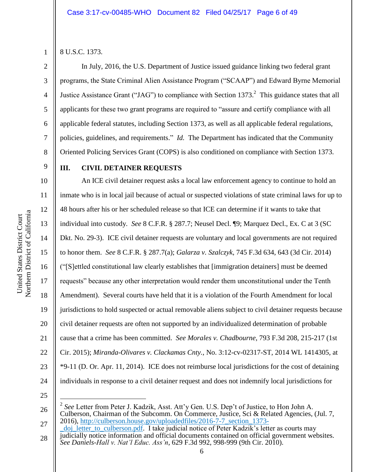1 2

3

4

5

6

7

8

9

10

11

12

13

14

15

16

17

18

19

20

21

22

23

24

8 U.S.C. 1373.

In July, 2016, the U.S. Department of Justice issued guidance linking two federal grant programs, the State Criminal Alien Assistance Program ("SCAAP") and Edward Byrne Memorial Justice Assistance Grant ("JAG") to compliance with Section 1373.<sup>2</sup> This guidance states that all applicants for these two grant programs are required to "assure and certify compliance with all applicable federal statutes, including Section 1373, as well as all applicable federal regulations, policies, guidelines, and requirements." *Id.* The Department has indicated that the Community Oriented Policing Services Grant (COPS) is also conditioned on compliance with Section 1373.

## **III. CIVIL DETAINER REQUESTS**

An ICE civil detainer request asks a local law enforcement agency to continue to hold an inmate who is in local jail because of actual or suspected violations of state criminal laws for up to 48 hours after his or her scheduled release so that ICE can determine if it wants to take that individual into custody. *See* 8 C.F.R. § 287.7; Neusel Decl. ¶9; Marquez Decl., Ex. C at 3 (SC Dkt. No. 29-3). ICE civil detainer requests are voluntary and local governments are not required to honor them. *See* 8 C.F.R. § 287.7(a); *Galarza v. Szalczyk*, 745 F.3d 634, 643 (3d Cir. 2014) ("[S]ettled constitutional law clearly establishes that [immigration detainers] must be deemed requests" because any other interpretation would render them unconstitutional under the Tenth Amendment). Several courts have held that it is a violation of the Fourth Amendment for local jurisdictions to hold suspected or actual removable aliens subject to civil detainer requests because civil detainer requests are often not supported by an individualized determination of probable cause that a crime has been committed. *See Morales v. Chadbourne*, 793 F.3d 208, 215-217 (1st Cir. 2015); *Miranda-Olivares v. Clackamas Cnty.*, No. 3:12-cv-02317-ST, 2014 WL 1414305, at \*9-11 (D. Or. Apr. 11, 2014). ICE does not reimburse local jurisdictions for the cost of detaining individuals in response to a civil detainer request and does not indemnify local jurisdictions for

25

 $\overline{a}$ 

<sup>26</sup> 2 *See* Letter from Peter J. Kadzik, Asst. Att'y Gen. U.S. Dep't of Justice, to Hon John A. Culberson, Chairman of the Subcomm. On Commerce, Justice, Sci & Related Agencies, (Jul. 7, 2016), [http://culberson.house.gov/uploadedfiles/2016-7-7\\_section\\_1373-](http://culberson.house.gov/uploadedfiles/2016-7-7_section_1373-_doj_letter_to_culberson.pdf)

<sup>27</sup> 28 doj letter to culberson.pdf. I take judicial notice of Peter Kadzik's letter as courts may judicially notice information and official documents contained on official government websites. *See Daniels-Hall v. Nat'l Educ. Ass'n*, 629 F.3d 992, 998-999 (9th Cir. 2010).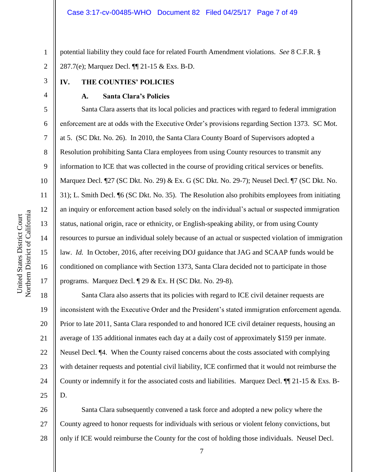potential liability they could face for related Fourth Amendment violations. *See* 8 C.F.R. § 287.7(e); Marquez Decl. ¶¶ 21-15 & Exs. B-D.

## **IV. THE COUNTIES' POLICIES**

#### **A. Santa Clara's Policies**

Santa Clara asserts that its local policies and practices with regard to federal immigration enforcement are at odds with the Executive Order's provisions regarding Section 1373. SC Mot. at 5. (SC Dkt. No. 26). In 2010, the Santa Clara County Board of Supervisors adopted a Resolution prohibiting Santa Clara employees from using County resources to transmit any information to ICE that was collected in the course of providing critical services or benefits. Marquez Decl. ¶27 (SC Dkt. No. 29) & Ex. G (SC Dkt. No. 29-7); Neusel Decl. ¶7 (SC Dkt. No. 31); L. Smith Decl. ¶6 (SC Dkt. No. 35). The Resolution also prohibits employees from initiating an inquiry or enforcement action based solely on the individual's actual or suspected immigration status, national origin, race or ethnicity, or English-speaking ability, or from using County resources to pursue an individual solely because of an actual or suspected violation of immigration law. *Id.* In October, 2016, after receiving DOJ guidance that JAG and SCAAP funds would be conditioned on compliance with Section 1373, Santa Clara decided not to participate in those programs. Marquez Decl. ¶ 29 & Ex. H (SC Dkt. No. 29-8).

18 19 20 21 22 23 24 25 Santa Clara also asserts that its policies with regard to ICE civil detainer requests are inconsistent with the Executive Order and the President's stated immigration enforcement agenda. Prior to late 2011, Santa Clara responded to and honored ICE civil detainer requests, housing an average of 135 additional inmates each day at a daily cost of approximately \$159 per inmate. Neusel Decl. ¶4. When the County raised concerns about the costs associated with complying with detainer requests and potential civil liability, ICE confirmed that it would not reimburse the County or indemnify it for the associated costs and liabilities. Marquez Decl.  $\P$  21-15 & Exs. B-D.

26 27 28 Santa Clara subsequently convened a task force and adopted a new policy where the County agreed to honor requests for individuals with serious or violent felony convictions, but only if ICE would reimburse the County for the cost of holding those individuals. Neusel Decl.

1

2

3

4

5

6

7

8

9

10

11

12

13

14

15

16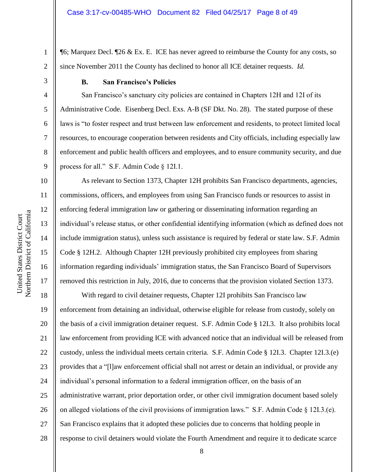¶6; Marquez Decl. ¶26 & Ex. E. ICE has never agreed to reimburse the County for any costs, so since November 2011 the County has declined to honor all ICE detainer requests. *Id.*

1

2

3

4

5

6

7

8

9

10

11

12

13

14

15

16

17

## **B. San Francisco's Policies**

San Francisco's sanctuary city policies are contained in Chapters 12H and 12I of its Administrative Code. Eisenberg Decl. Exs. A-B (SF Dkt. No. 28). The stated purpose of these laws is "to foster respect and trust between law enforcement and residents, to protect limited local resources, to encourage cooperation between residents and City officials, including especially law enforcement and public health officers and employees, and to ensure community security, and due process for all." S.F. Admin Code § 12I.1.

As relevant to Section 1373, Chapter 12H prohibits San Francisco departments, agencies, commissions, officers, and employees from using San Francisco funds or resources to assist in enforcing federal immigration law or gathering or disseminating information regarding an individual's release status, or other confidential identifying information (which as defined does not include immigration status), unless such assistance is required by federal or state law. S.F. Admin Code § 12H.2. Although Chapter 12H previously prohibited city employees from sharing information regarding individuals' immigration status, the San Francisco Board of Supervisors removed this restriction in July, 2016, due to concerns that the provision violated Section 1373.

18 19 20 21 22 23 24 25 26 27 28 With regard to civil detainer requests, Chapter 12I prohibits San Francisco law enforcement from detaining an individual, otherwise eligible for release from custody, solely on the basis of a civil immigration detainer request. S.F. Admin Code § 12I.3. It also prohibits local law enforcement from providing ICE with advanced notice that an individual will be released from custody, unless the individual meets certain criteria. S.F. Admin Code § 12I.3. Chapter 12I.3.(e) provides that a "[l]aw enforcement official shall not arrest or detain an individual, or provide any individual's personal information to a federal immigration officer, on the basis of an administrative warrant, prior deportation order, or other civil immigration document based solely on alleged violations of the civil provisions of immigration laws." S.F. Admin Code § 12I.3.(e). San Francisco explains that it adopted these policies due to concerns that holding people in response to civil detainers would violate the Fourth Amendment and require it to dedicate scarce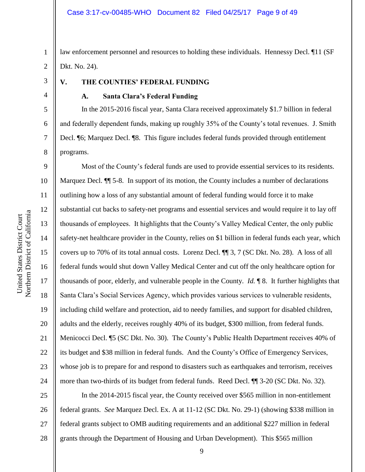1 2 law enforcement personnel and resources to holding these individuals. Hennessy Decl. ¶11 (SF Dkt. No. 24).

3

4

5

6

7

8

# **V. THE COUNTIES' FEDERAL FUNDING**

## **A. Santa Clara's Federal Funding**

In the 2015-2016 fiscal year, Santa Clara received approximately \$1.7 billion in federal and federally dependent funds, making up roughly 35% of the County's total revenues. J. Smith Decl. ¶6; Marquez Decl. ¶8. This figure includes federal funds provided through entitlement programs.

9 10 11 12 13 14 15 16 17 18 19 20 21 22 23 24 Most of the County's federal funds are used to provide essential services to its residents. Marquez Decl.  $\P$  5-8. In support of its motion, the County includes a number of declarations outlining how a loss of any substantial amount of federal funding would force it to make substantial cut backs to safety-net programs and essential services and would require it to lay off thousands of employees. It highlights that the County's Valley Medical Center, the only public safety-net healthcare provider in the County, relies on \$1 billion in federal funds each year, which covers up to 70% of its total annual costs. Lorenz Decl. ¶¶ 3, 7 (SC Dkt. No. 28). A loss of all federal funds would shut down Valley Medical Center and cut off the only healthcare option for thousands of poor, elderly, and vulnerable people in the County. *Id.* ¶ 8. It further highlights that Santa Clara's Social Services Agency, which provides various services to vulnerable residents, including child welfare and protection, aid to needy families, and support for disabled children, adults and the elderly, receives roughly 40% of its budget, \$300 million, from federal funds. Menicocci Decl. ¶5 (SC Dkt. No. 30). The County's Public Health Department receives 40% of its budget and \$38 million in federal funds. And the County's Office of Emergency Services, whose job is to prepare for and respond to disasters such as earthquakes and terrorism, receives more than two-thirds of its budget from federal funds. Reed Decl. ¶¶ 3-20 (SC Dkt. No. 32).

25 26 27 28 In the 2014-2015 fiscal year, the County received over \$565 million in non-entitlement federal grants. *See* Marquez Decl. Ex. A at 11-12 (SC Dkt. No. 29-1) (showing \$338 million in federal grants subject to OMB auditing requirements and an additional \$227 million in federal grants through the Department of Housing and Urban Development). This \$565 million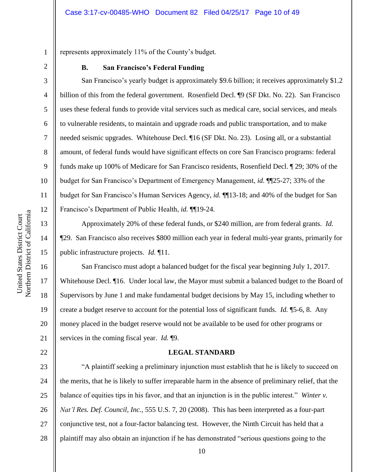represents approximately 11% of the County's budget.

1

2

3

4

5

6

7

8

9

10

11

12

13

14

15

16

17

18

19

20

21

22

#### **B. San Francisco's Federal Funding**

San Francisco's yearly budget is approximately \$9.6 billion; it receives approximately \$1.2 billion of this from the federal government. Rosenfield Decl. ¶9 (SF Dkt. No. 22). San Francisco uses these federal funds to provide vital services such as medical care, social services, and meals to vulnerable residents, to maintain and upgrade roads and public transportation, and to make needed seismic upgrades. Whitehouse Decl. ¶16 (SF Dkt. No. 23). Losing all, or a substantial amount, of federal funds would have significant effects on core San Francisco programs: federal funds make up 100% of Medicare for San Francisco residents, Rosenfield Decl. ¶ 29; 30% of the budget for San Francisco's Department of Emergency Management, *id.* ¶¶25-27; 33% of the budget for San Francisco's Human Services Agency, *id.* ¶¶13-18; and 40% of the budget for San Francisco's Department of Public Health, *id.* ¶¶19-24.

Approximately 20% of these federal funds, or \$240 million, are from federal grants. *Id.* ¶29. San Francisco also receives \$800 million each year in federal multi-year grants, primarily for public infrastructure projects. *Id.* ¶11.

San Francisco must adopt a balanced budget for the fiscal year beginning July 1, 2017. Whitehouse Decl.  $\P$ 16. Under local law, the Mayor must submit a balanced budget to the Board of Supervisors by June 1 and make fundamental budget decisions by May 15, including whether to create a budget reserve to account for the potential loss of significant funds. *Id.* ¶5-6, 8. Any money placed in the budget reserve would not be available to be used for other programs or services in the coming fiscal year. *Id.* ¶9.

#### **LEGAL STANDARD**

23 24 25 26 27 28 "A plaintiff seeking a preliminary injunction must establish that he is likely to succeed on the merits, that he is likely to suffer irreparable harm in the absence of preliminary relief, that the balance of equities tips in his favor, and that an injunction is in the public interest." *Winter v. Nat'l Res. Def. Council, Inc.*, 555 U.S. 7, 20 (2008). This has been interpreted as a four-part conjunctive test, not a four-factor balancing test. However, the Ninth Circuit has held that a plaintiff may also obtain an injunction if he has demonstrated "serious questions going to the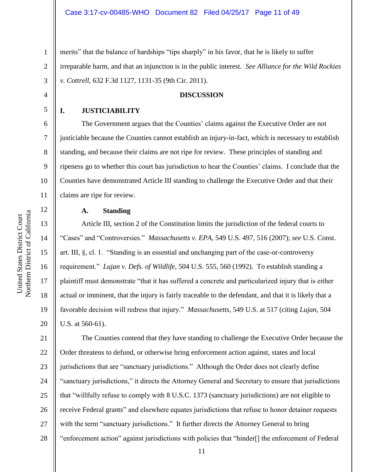1 2 3 merits" that the balance of hardships "tips sharply" in his favor, that he is likely to suffer irreparable harm, and that an injunction is in the public interest. *See Alliance for the Wild Rockies v. Cottrell*, 632 F.3d 1127, 1131-35 (9th Cir. 2011).

## **DISCUSSION**

#### **I. JUSTICIABILITY**

4

5

6

7

8

9

10

11

12

13

14

15

16

17

18

19

20

The Government argues that the Counties' claims against the Executive Order are not justiciable because the Counties cannot establish an injury-in-fact, which is necessary to establish standing, and because their claims are not ripe for review. These principles of standing and ripeness go to whether this court has jurisdiction to hear the Counties' claims. I conclude that the Counties have demonstrated Article III standing to challenge the Executive Order and that their claims are ripe for review.

#### **A. Standing**

Article III, section 2 of the Constitution limits the jurisdiction of the federal courts to "Cases" and "Controversies." *Massachusetts v. EPA*, 549 U.S. 497, 516 (2007); *see* U.S. Const. art. III, §, cl. 1. "Standing is an essential and unchanging part of the case-or-controversy requirement." *Lujan v. Defs. of Wildlife*, 504 U.S. 555, 560 (1992). To establish standing a plaintiff must demonstrate "that it has suffered a concrete and particularized injury that is either actual or imminent, that the injury is fairly traceable to the defendant, and that it is likely that a favorable decision will redress that injury." *Massachusetts*, 549 U.S. at 517 (citing *Lujan*, 504 U.S. at 560-61).

21 22 23 24 25 26 27 28 The Counties contend that they have standing to challenge the Executive Order because the Order threatens to defund, or otherwise bring enforcement action against, states and local jurisdictions that are "sanctuary jurisdictions." Although the Order does not clearly define "sanctuary jurisdictions," it directs the Attorney General and Secretary to ensure that jurisdictions that "willfully refuse to comply with 8 U.S.C. 1373 (sanctuary jurisdictions) are not eligible to receive Federal grants" and elsewhere equates jurisdictions that refuse to honor detainer requests with the term "sanctuary jurisdictions." It further directs the Attorney General to bring "enforcement action" against jurisdictions with policies that "hinder[] the enforcement of Federal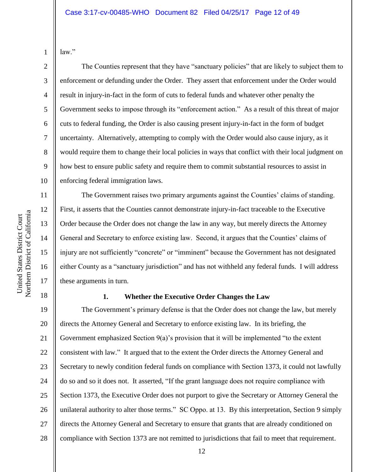law."

1

2

3

4

5

6

7

8

9

10

11

12

13

14

15

16

17

The Counties represent that they have "sanctuary policies" that are likely to subject them to enforcement or defunding under the Order. They assert that enforcement under the Order would result in injury-in-fact in the form of cuts to federal funds and whatever other penalty the Government seeks to impose through its "enforcement action." As a result of this threat of major cuts to federal funding, the Order is also causing present injury-in-fact in the form of budget uncertainty. Alternatively, attempting to comply with the Order would also cause injury, as it would require them to change their local policies in ways that conflict with their local judgment on how best to ensure public safety and require them to commit substantial resources to assist in enforcing federal immigration laws.

The Government raises two primary arguments against the Counties' claims of standing. First, it asserts that the Counties cannot demonstrate injury-in-fact traceable to the Executive Order because the Order does not change the law in any way, but merely directs the Attorney General and Secretary to enforce existing law. Second, it argues that the Counties' claims of injury are not sufficiently "concrete" or "imminent" because the Government has not designated either County as a "sanctuary jurisdiction" and has not withheld any federal funds. I will address these arguments in turn.

18

## **1. Whether the Executive Order Changes the Law**

19 20 21 22 23 24 25 26 27 28 The Government's primary defense is that the Order does not change the law, but merely directs the Attorney General and Secretary to enforce existing law. In its briefing, the Government emphasized Section  $9(a)$ 's provision that it will be implemented "to the extent" consistent with law." It argued that to the extent the Order directs the Attorney General and Secretary to newly condition federal funds on compliance with Section 1373, it could not lawfully do so and so it does not. It asserted, "If the grant language does not require compliance with Section 1373, the Executive Order does not purport to give the Secretary or Attorney General the unilateral authority to alter those terms." SC Oppo. at 13. By this interpretation, Section 9 simply directs the Attorney General and Secretary to ensure that grants that are already conditioned on compliance with Section 1373 are not remitted to jurisdictions that fail to meet that requirement.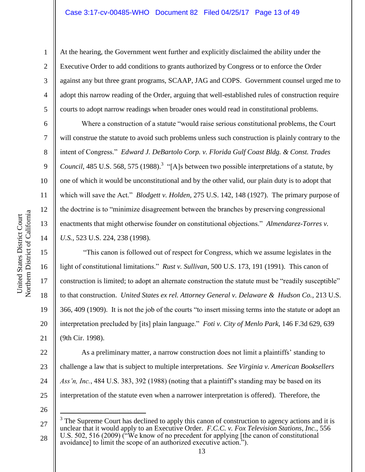At the hearing, the Government went further and explicitly disclaimed the ability under the Executive Order to add conditions to grants authorized by Congress or to enforce the Order against any but three grant programs, SCAAP, JAG and COPS. Government counsel urged me to adopt this narrow reading of the Order, arguing that well-established rules of construction require courts to adopt narrow readings when broader ones would read in constitutional problems.

Where a construction of a statute "would raise serious constitutional problems, the Court will construe the statute to avoid such problems unless such construction is plainly contrary to the intent of Congress." *Edward J. DeBartolo Corp. v. Florida Gulf Coast Bldg. & Const. Trades*  Council, 485 U.S. 568, 575 (1988).<sup>3</sup> "[A]s between two possible interpretations of a statute, by one of which it would be unconstitutional and by the other valid, our plain duty is to adopt that which will save the Act." *Blodgett v. Holden*, 275 U.S. 142, 148 (1927). The primary purpose of the doctrine is to "minimize disagreement between the branches by preserving congressional enactments that might otherwise founder on constitutional objections." *Almendarez-Torres v. U.S.*, 523 U.S. 224, 238 (1998).

16 20 "This canon is followed out of respect for Congress, which we assume legislates in the light of constitutional limitations." *Rust v. Sullivan*, 500 U.S. 173, 191 (1991). This canon of construction is limited; to adopt an alternate construction the statute must be "readily susceptible" to that construction. *United States ex rel. Attorney General v. Delaware & Hudson Co.*, 213 U.S. 366, 409 (1909). It is not the job of the courts "to insert missing terms into the statute or adopt an interpretation precluded by [its] plain language." *Foti v. City of Menlo Park*, 146 F.3d 629, 639 (9th Cir. 1998).

22 23 24 25 As a preliminary matter, a narrow construction does not limit a plaintiffs' standing to challenge a law that is subject to multiple interpretations. *See Virginia v. American Booksellers Ass'n, Inc.*, 484 U.S. 383, 392 (1988) (noting that a plaintiff's standing may be based on its interpretation of the statute even when a narrower interpretation is offered). Therefore, the

26

 $\overline{a}$ 

1

2

3

4

5

6

7

8

9

10

11

12

13

14

15

17

18

19

<sup>27</sup> 28 3 The Supreme Court has declined to apply this canon of construction to agency actions and it is unclear that it would apply to an Executive Order. *F.C.C. v. Fox Television Stations, Inc.*, 556 U.S. 502, 516 (2009) ("We know of no precedent for applying [the canon of constitutional avoidance] to limit the scope of an authorized executive action.").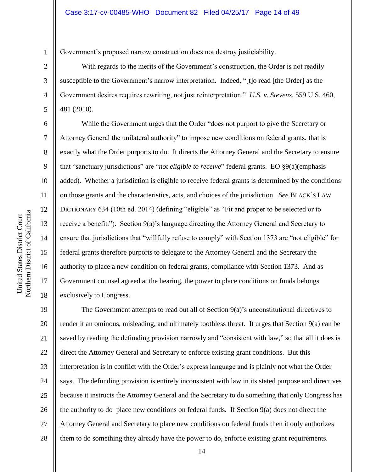Government's proposed narrow construction does not destroy justiciability.

With regards to the merits of the Government's construction, the Order is not readily susceptible to the Government's narrow interpretation. Indeed, "[t]o read [the Order] as the Government desires requires rewriting, not just reinterpretation." *U.S. v. Stevens*, 559 U.S. 460, 481 (2010).

While the Government urges that the Order "does not purport to give the Secretary or Attorney General the unilateral authority" to impose new conditions on federal grants, that is exactly what the Order purports to do. It directs the Attorney General and the Secretary to ensure that "sanctuary jurisdictions" are "*not eligible to receive*" federal grants. EO §9(a)(emphasis added). Whether a jurisdiction is eligible to receive federal grants is determined by the conditions on those grants and the characteristics, acts, and choices of the jurisdiction. *See* BLACK'S LAW DICTIONARY 634 (10th ed. 2014) (defining "eligible" as "Fit and proper to be selected or to receive a benefit."). Section 9(a)'s language directing the Attorney General and Secretary to ensure that jurisdictions that "willfully refuse to comply" with Section 1373 are "not eligible" for federal grants therefore purports to delegate to the Attorney General and the Secretary the authority to place a new condition on federal grants, compliance with Section 1373. And as Government counsel agreed at the hearing, the power to place conditions on funds belongs exclusively to Congress.

19 20 21 22 23 24 25 26 27 28 The Government attempts to read out all of Section 9(a)'s unconstitutional directives to render it an ominous, misleading, and ultimately toothless threat. It urges that Section 9(a) can be saved by reading the defunding provision narrowly and "consistent with law," so that all it does is direct the Attorney General and Secretary to enforce existing grant conditions. But this interpretation is in conflict with the Order's express language and is plainly not what the Order says. The defunding provision is entirely inconsistent with law in its stated purpose and directives because it instructs the Attorney General and the Secretary to do something that only Congress has the authority to do–place new conditions on federal funds. If Section 9(a) does not direct the Attorney General and Secretary to place new conditions on federal funds then it only authorizes them to do something they already have the power to do, enforce existing grant requirements.

1

2

3

4

5

6

7

8

9

10

11

12

13

14

15

16

17

18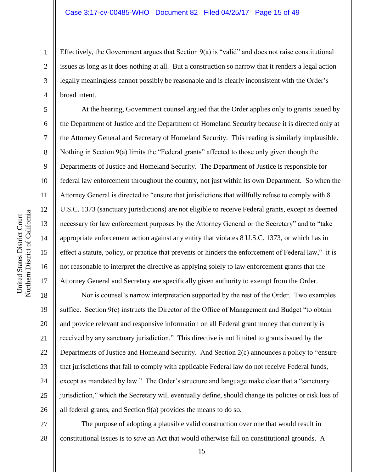Effectively, the Government argues that Section  $9(a)$  is "valid" and does not raise constitutional issues as long as it does nothing at all. But a construction so narrow that it renders a legal action legally meaningless cannot possibly be reasonable and is clearly inconsistent with the Order's broad intent.

At the hearing, Government counsel argued that the Order applies only to grants issued by the Department of Justice and the Department of Homeland Security because it is directed only at the Attorney General and Secretary of Homeland Security. This reading is similarly implausible. Nothing in Section 9(a) limits the "Federal grants" affected to those only given though the Departments of Justice and Homeland Security. The Department of Justice is responsible for federal law enforcement throughout the country, not just within its own Department. So when the Attorney General is directed to "ensure that jurisdictions that willfully refuse to comply with 8 U.S.C. 1373 (sanctuary jurisdictions) are not eligible to receive Federal grants, except as deemed necessary for law enforcement purposes by the Attorney General or the Secretary" and to "take appropriate enforcement action against any entity that violates 8 U.S.C. 1373, or which has in effect a statute, policy, or practice that prevents or hinders the enforcement of Federal law," it is not reasonable to interpret the directive as applying solely to law enforcement grants that the Attorney General and Secretary are specifically given authority to exempt from the Order.

18 19 20 21 22 23 24 25 26 Nor is counsel's narrow interpretation supported by the rest of the Order. Two examples suffice. Section 9(c) instructs the Director of the Office of Management and Budget "to obtain and provide relevant and responsive information on all Federal grant money that currently is received by any sanctuary jurisdiction." This directive is not limited to grants issued by the Departments of Justice and Homeland Security. And Section 2(c) announces a policy to "ensure that jurisdictions that fail to comply with applicable Federal law do not receive Federal funds, except as mandated by law." The Order's structure and language make clear that a "sanctuary jurisdiction," which the Secretary will eventually define, should change its policies or risk loss of all federal grants, and Section 9(a) provides the means to do so.

27 28 The purpose of adopting a plausible valid construction over one that would result in constitutional issues is to *save* an Act that would otherwise fall on constitutional grounds. A

1

2

3

4

5

6

7

8

9

10

11

12

13

14

15

16

17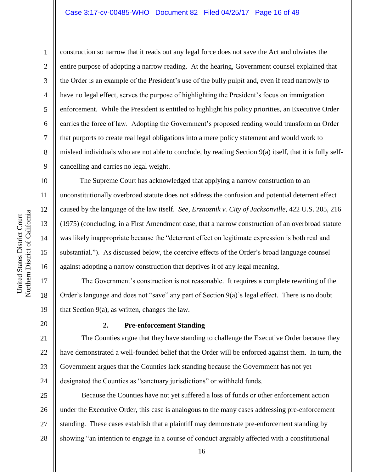#### Case 3:17-cv-00485-WHO Document 82 Filed 04/25/17 Page 16 of 49

9

10

11

12

13

14

15

16

17

18

19

1

construction so narrow that it reads out any legal force does not save the Act and obviates the entire purpose of adopting a narrow reading. At the hearing, Government counsel explained that the Order is an example of the President's use of the bully pulpit and, even if read narrowly to have no legal effect, serves the purpose of highlighting the President's focus on immigration enforcement. While the President is entitled to highlight his policy priorities, an Executive Order carries the force of law. Adopting the Government's proposed reading would transform an Order that purports to create real legal obligations into a mere policy statement and would work to mislead individuals who are not able to conclude, by reading Section 9(a) itself, that it is fully selfcancelling and carries no legal weight.

 The Supreme Court has acknowledged that applying a narrow construction to an unconstitutionally overbroad statute does not address the confusion and potential deterrent effect caused by the language of the law itself. *See*, *Erznoznik v. City of Jacksonville*, 422 U.S. 205, 216 (1975) (concluding, in a First Amendment case, that a narrow construction of an overbroad statute was likely inappropriate because the "deterrent effect on legitimate expression is both real and substantial."). As discussed below, the coercive effects of the Order's broad language counsel against adopting a narrow construction that deprives it of any legal meaning.

The Government's construction is not reasonable. It requires a complete rewriting of the Order's language and does not "save" any part of Section 9(a)'s legal effect. There is no doubt that Section 9(a), as written, changes the law.

20

## **2. Pre-enforcement Standing**

21 22 23 24 The Counties argue that they have standing to challenge the Executive Order because they have demonstrated a well-founded belief that the Order will be enforced against them. In turn, the Government argues that the Counties lack standing because the Government has not yet designated the Counties as "sanctuary jurisdictions" or withheld funds.

25 26 27 28 Because the Counties have not yet suffered a loss of funds or other enforcement action under the Executive Order, this case is analogous to the many cases addressing pre-enforcement standing. These cases establish that a plaintiff may demonstrate pre-enforcement standing by showing "an intention to engage in a course of conduct arguably affected with a constitutional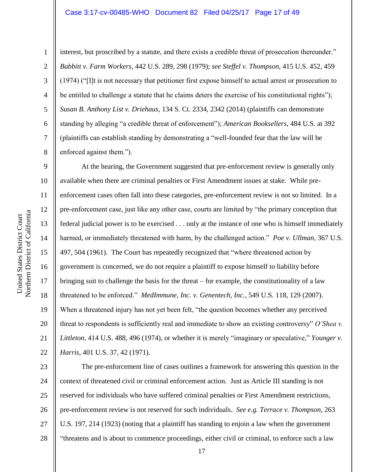#### Case 3:17-cv-00485-WHO Document 82 Filed 04/25/17 Page 17 of 49

1

2

3

4

5

6

7

8

interest, but proscribed by a statute, and there exists a credible threat of prosecution thereunder." *Babbitt v. Farm Workers*, 442 U.S. 289, 298 (1979); *see Steffel v. Thompson*, 415 U.S. 452, 459 (1974) ("[I]t is not necessary that petitioner first expose himself to actual arrest or prosecution to be entitled to challenge a statute that he claims deters the exercise of his constitutional rights"); *Susan B. Anthony List v. Driehaus*, 134 S. Ct. 2334, 2342 (2014) (plaintiffs can demonstrate standing by alleging "a credible threat of enforcement"); *American Booksellers*, 484 U.S. at 392 (plaintiffs can establish standing by demonstrating a "well-founded fear that the law will be enforced against them.").

9 10 11 12 13 14 15 16 17 18 19 20 21 22 At the hearing, the Government suggested that pre-enforcement review is generally only available when there are criminal penalties or First Amendment issues at stake. While preenforcement cases often fall into these categories, pre-enforcement review is not so limited. In a pre-enforcement case, just like any other case, courts are limited by "the primary conception that federal judicial power is to be exercised . . . only at the instance of one who is himself immediately harmed, or immediately threatened with harm, by the challenged action." *Poe v. Ullman*, 367 U.S. 497, 504 (1961). The Court has repeatedly recognized that "where threatened action by government is concerned, we do not require a plaintiff to expose himself to liability before bringing suit to challenge the basis for the threat – for example, the constitutionality of a law threatened to be enforced." *MedImmune, Inc. v. Genentech, Inc.*, 549 U.S. 118, 129 (2007). When a threatened injury has not yet been felt, "the question becomes whether any perceived threat to respondents is sufficiently real and immediate to show an existing controversy" *O'Shea v. Littleton*, 414 U.S. 488, 496 (1974), or whether it is merely "imaginary or speculative," *Younger v. Harris*, 401 U.S. 37, 42 (1971).

23 24 25 26 27 28 The pre-enforcement line of cases outlines a framework for answering this question in the context of threatened civil or criminal enforcement action. Just as Article III standing is not reserved for individuals who have suffered criminal penalties or First Amendment restrictions, pre-enforcement review is not reserved for such individuals. *See e.g. Terrace v. Thompson*, 263 U.S. 197, 214 (1923) (noting that a plaintiff has standing to enjoin a law when the government "threatens and is about to commence proceedings, either civil or criminal, to enforce such a law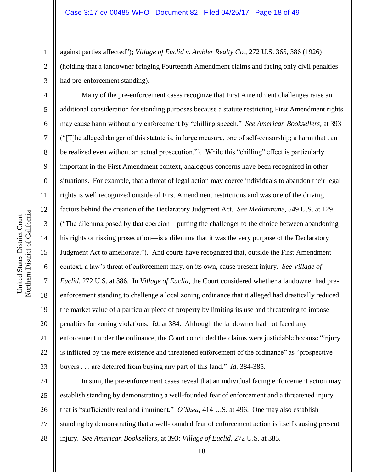against parties affected"); *Village of Euclid v. Ambler Realty Co.*, 272 U.S. 365, 386 (1926) (holding that a landowner bringing Fourteenth Amendment claims and facing only civil penalties had pre-enforcement standing).

Many of the pre-enforcement cases recognize that First Amendment challenges raise an additional consideration for standing purposes because a statute restricting First Amendment rights may cause harm without any enforcement by "chilling speech." *See American Booksellers*, at 393 ("[T]he alleged danger of this statute is, in large measure, one of self-censorship; a harm that can be realized even without an actual prosecution."). While this "chilling" effect is particularly important in the First Amendment context, analogous concerns have been recognized in other situations. For example, that a threat of legal action may coerce individuals to abandon their legal rights is well recognized outside of First Amendment restrictions and was one of the driving factors behind the creation of the Declaratory Judgment Act. *See MedImmune*, 549 U.S. at 129 ("The dilemma posed by that coercion—putting the challenger to the choice between abandoning his rights or risking prosecution—is a dilemma that it was the very purpose of the Declaratory Judgment Act to ameliorate."). And courts have recognized that, outside the First Amendment context, a law's threat of enforcement may, on its own, cause present injury. *See Village of Euclid*, 272 U.S. at 386. In *Village of Euclid*, the Court considered whether a landowner had preenforcement standing to challenge a local zoning ordinance that it alleged had drastically reduced the market value of a particular piece of property by limiting its use and threatening to impose penalties for zoning violations. *Id.* at 384. Although the landowner had not faced any enforcement under the ordinance, the Court concluded the claims were justiciable because "injury is inflicted by the mere existence and threatened enforcement of the ordinance" as "prospective buyers . . . are deterred from buying any part of this land." *Id.* 384-385.

24 25 26 27 28 In sum, the pre-enforcement cases reveal that an individual facing enforcement action may establish standing by demonstrating a well-founded fear of enforcement and a threatened injury that is "sufficiently real and imminent." *O'Shea*, 414 U.S. at 496. One may also establish standing by demonstrating that a well-founded fear of enforcement action is itself causing present injury. *See American Booksellers*, at 393; *Village of Euclid*, 272 U.S. at 385.

1

2

3

4

5

6

7

8

9

10

11

12

13

14

15

16

17

18

19

20

21

22

23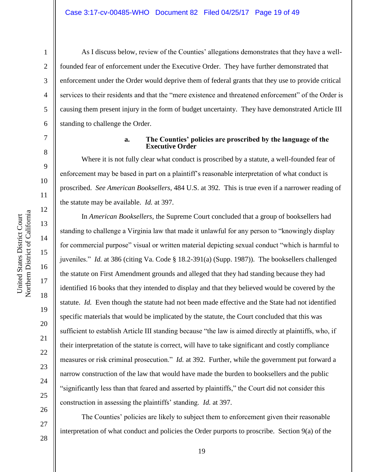As I discuss below, review of the Counties' allegations demonstrates that they have a wellfounded fear of enforcement under the Executive Order. They have further demonstrated that enforcement under the Order would deprive them of federal grants that they use to provide critical services to their residents and that the "mere existence and threatened enforcement" of the Order is causing them present injury in the form of budget uncertainty. They have demonstrated Article III standing to challenge the Order.

7

1

2

3

4

5

6

8

9

18

United States District Court

Northern District of California United States District Court

19

20

21

22

23

24

25

26

27

#### **a. The Counties' policies are proscribed by the language of the Executive Order**

Where it is not fully clear what conduct is proscribed by a statute, a well-founded fear of enforcement may be based in part on a plaintiff's reasonable interpretation of what conduct is proscribed. *See American Booksellers*, 484 U.S. at 392*.* This is true even if a narrower reading of the statute may be available. *Id.* at 397.

In *American Booksellers*, the Supreme Court concluded that a group of booksellers had standing to challenge a Virginia law that made it unlawful for any person to "knowingly display for commercial purpose" visual or written material depicting sexual conduct "which is harmful to juveniles." *Id.* at 386 (citing Va. Code § 18.2-391(a) (Supp. 1987)). The booksellers challenged the statute on First Amendment grounds and alleged that they had standing because they had identified 16 books that they intended to display and that they believed would be covered by the statute. *Id.* Even though the statute had not been made effective and the State had not identified specific materials that would be implicated by the statute, the Court concluded that this was sufficient to establish Article III standing because "the law is aimed directly at plaintiffs, who, if their interpretation of the statute is correct, will have to take significant and costly compliance measures or risk criminal prosecution." *Id.* at 392. Further, while the government put forward a narrow construction of the law that would have made the burden to booksellers and the public "significantly less than that feared and asserted by plaintiffs," the Court did not consider this construction in assessing the plaintiffs' standing. *Id.* at 397.

The Counties' policies are likely to subject them to enforcement given their reasonable interpretation of what conduct and policies the Order purports to proscribe. Section 9(a) of the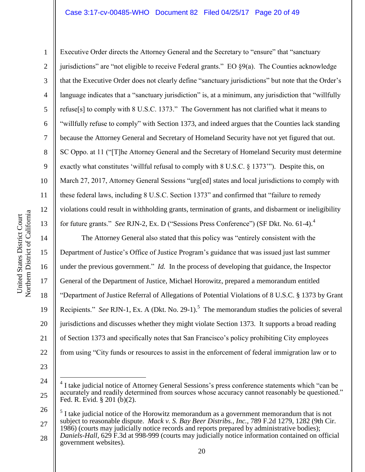### Case 3:17-cv-00485-WHO Document 82 Filed 04/25/17 Page 20 of 49

Northern District of California Northern District of California United States District Court United States District Court

1

2

3

5

8

9

11

13

14

15

16

17

18

19

20

21

22

4 6 7 10 12 Executive Order directs the Attorney General and the Secretary to "ensure" that "sanctuary jurisdictions" are "not eligible to receive Federal grants." EO  $\S9(a)$ . The Counties acknowledge that the Executive Order does not clearly define "sanctuary jurisdictions" but note that the Order's language indicates that a "sanctuary jurisdiction" is, at a minimum, any jurisdiction that "willfully refuse[s] to comply with 8 U.S.C. 1373." The Government has not clarified what it means to "willfully refuse to comply" with Section 1373, and indeed argues that the Counties lack standing because the Attorney General and Secretary of Homeland Security have not yet figured that out. SC Oppo. at 11 ("[T]he Attorney General and the Secretary of Homeland Security must determine exactly what constitutes 'willful refusal to comply with 8 U.S.C. § 1373'"). Despite this, on March 27, 2017, Attorney General Sessions "urg[ed] states and local jurisdictions to comply with these federal laws, including 8 U.S.C. Section 1373" and confirmed that "failure to remedy violations could result in withholding grants, termination of grants, and disbarment or ineligibility for future grants." *See RJN-2*, Ex. D ("Sessions Press Conference") (SF Dkt. No. 61-4).<sup>4</sup>

The Attorney General also stated that this policy was "entirely consistent with the Department of Justice's Office of Justice Program's guidance that was issued just last summer under the previous government." *Id.* In the process of developing that guidance, the Inspector General of the Department of Justice, Michael Horowitz, prepared a memorandum entitled "Department of Justice Referral of Allegations of Potential Violations of 8 U.S.C. § 1373 by Grant Recipients." *See* RJN-1, Ex. A (Dkt. No. 29-1).<sup>5</sup> The memorandum studies the policies of several jurisdictions and discusses whether they might violate Section 1373. It supports a broad reading of Section 1373 and specifically notes that San Francisco's policy prohibiting City employees from using "City funds or resources to assist in the enforcement of federal immigration law or to

23

 $\overline{a}$ 

<sup>24</sup>

<sup>4</sup> I take judicial notice of Attorney General Sessions's press conference statements which "can be accurately and readily determined from sources whose accuracy cannot reasonably be questioned." Fed. R. Evid. § 201 (b)(2).

<sup>26</sup> 27 5 I take judicial notice of the Horowitz memorandum as a government memorandum that is not subject to reasonable dispute. *Mack v. S. Bay Beer Distribs., Inc.*, 789 F.2d 1279, 1282 (9th Cir. 1986) (courts may judicially notice records and reports prepared by administrative bodies);

<sup>28</sup> *Daniels-Hall*, 629 F.3d at 998-999 (courts may judicially notice information contained on official government websites).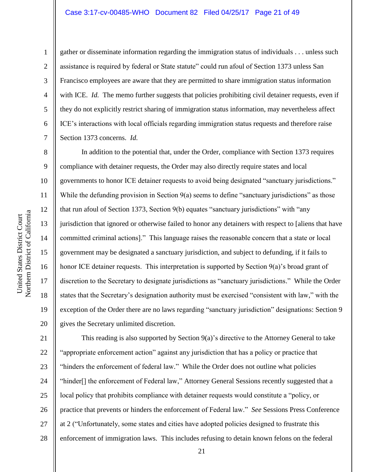#### Case 3:17-cv-00485-WHO Document 82 Filed 04/25/17 Page 21 of 49

1

2

3

4

5

6

7

8

9

10

11

12

13

14

15

16

17

18

19

20

gather or disseminate information regarding the immigration status of individuals . . . unless such assistance is required by federal or State statute" could run afoul of Section 1373 unless San Francisco employees are aware that they are permitted to share immigration status information with ICE. *Id.* The memo further suggests that policies prohibiting civil detainer requests, even if they do not explicitly restrict sharing of immigration status information, may nevertheless affect ICE's interactions with local officials regarding immigration status requests and therefore raise Section 1373 concerns. *Id.*

In addition to the potential that, under the Order, compliance with Section 1373 requires compliance with detainer requests, the Order may also directly require states and local governments to honor ICE detainer requests to avoid being designated "sanctuary jurisdictions." While the defunding provision in Section  $9(a)$  seems to define "sanctuary jurisdictions" as those that run afoul of Section 1373, Section 9(b) equates "sanctuary jurisdictions" with "any jurisdiction that ignored or otherwise failed to honor any detainers with respect to [aliens that have committed criminal actions]." This language raises the reasonable concern that a state or local government may be designated a sanctuary jurisdiction, and subject to defunding, if it fails to honor ICE detainer requests. This interpretation is supported by Section 9(a)'s broad grant of discretion to the Secretary to designate jurisdictions as "sanctuary jurisdictions." While the Order states that the Secretary's designation authority must be exercised "consistent with law," with the exception of the Order there are no laws regarding "sanctuary jurisdiction" designations: Section 9 gives the Secretary unlimited discretion.

21 22 23 24 25 26 27 28 This reading is also supported by Section 9(a)'s directive to the Attorney General to take "appropriate enforcement action" against any jurisdiction that has a policy or practice that "hinders the enforcement of federal law." While the Order does not outline what policies "hinder[] the enforcement of Federal law," Attorney General Sessions recently suggested that a local policy that prohibits compliance with detainer requests would constitute a "policy, or practice that prevents or hinders the enforcement of Federal law." *See* Sessions Press Conference at 2 ("Unfortunately, some states and cities have adopted policies designed to frustrate this enforcement of immigration laws. This includes refusing to detain known felons on the federal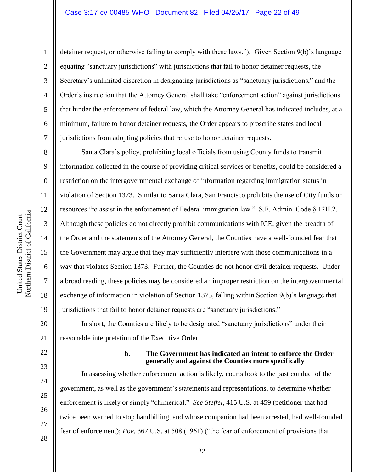#### Case 3:17-cv-00485-WHO Document 82 Filed 04/25/17 Page 22 of 49

detainer request, or otherwise failing to comply with these laws."). Given Section 9(b)'s language equating "sanctuary jurisdictions" with jurisdictions that fail to honor detainer requests, the Secretary's unlimited discretion in designating jurisdictions as "sanctuary jurisdictions," and the Order's instruction that the Attorney General shall take "enforcement action" against jurisdictions that hinder the enforcement of federal law, which the Attorney General has indicated includes, at a minimum, failure to honor detainer requests, the Order appears to proscribe states and local jurisdictions from adopting policies that refuse to honor detainer requests.

Santa Clara's policy, prohibiting local officials from using County funds to transmit information collected in the course of providing critical services or benefits, could be considered a restriction on the intergovernmental exchange of information regarding immigration status in violation of Section 1373. Similar to Santa Clara, San Francisco prohibits the use of City funds or resources "to assist in the enforcement of Federal immigration law." S.F. Admin. Code § 12H.2. Although these policies do not directly prohibit communications with ICE, given the breadth of the Order and the statements of the Attorney General, the Counties have a well-founded fear that the Government may argue that they may sufficiently interfere with those communications in a way that violates Section 1373. Further, the Counties do not honor civil detainer requests. Under a broad reading, these policies may be considered an improper restriction on the intergovernmental exchange of information in violation of Section 1373, falling within Section 9(b)'s language that jurisdictions that fail to honor detainer requests are "sanctuary jurisdictions."

20 21 In short, the Counties are likely to be designated "sanctuary jurisdictions" under their reasonable interpretation of the Executive Order.

22

23

24

25

26

27

#### **b. The Government has indicated an intent to enforce the Order generally and against the Counties more specifically**

In assessing whether enforcement action is likely, courts look to the past conduct of the government, as well as the government's statements and representations, to determine whether enforcement is likely or simply "chimerical." *See Steffel*, 415 U.S. at 459 (petitioner that had twice been warned to stop handbilling, and whose companion had been arrested, had well-founded fear of enforcement); *Poe*, 367 U.S. at 508 (1961) ("the fear of enforcement of provisions that

1

2

3

4

5

6

7

8

9

10

11

12

13

14

15

16

17

18

19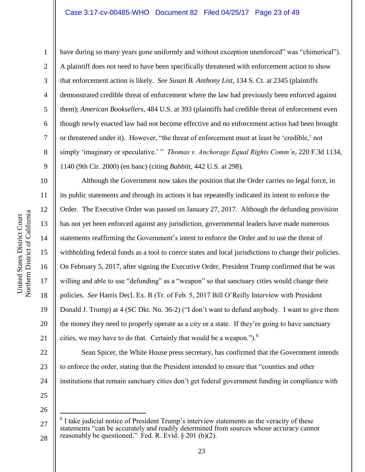#### Case 3:17-cv-00485-WHO Document 82 Filed 04/25/17 Page 23 of 49

1

2

3

4

5

6

7

8

9

10

11

12

13

14

15

16

17

18

19

20

21

have during so many years gone uniformly and without exception unenforced" was "chimerical"). A plaintiff does not need to have been specifically threatened with enforcement action to show that enforcement action is likely. *See Susan B. Anthony List*, 134 S. Ct. at 2345 (plaintiffs demonstrated credible threat of enforcement where the law had previously been enforced against them); *American Booksellers*, 484 U.S. at 393 (plaintiffs had credible threat of enforcement even though newly enacted law had not become effective and no enforcement action had been brought or threatened under it). However, "the threat of enforcement must at least be 'credible,' not simply 'imaginary or speculative.' " *Thomas v. Anchorage Equal Rights Comm'n*, 220 F.3d 1134, 1140 (9th Cir. 2000) (en banc) (citing *Babbitt*, 442 U.S. at 298).

Although the Government now takes the position that the Order carries no legal force, in its public statements and through its actions it has repeatedly indicated its intent to enforce the Order. The Executive Order was passed on January 27, 2017. Although the defunding provision has not yet been enforced against any jurisdiction, governmental leaders have made numerous statements reaffirming the Government's intent to enforce the Order and to use the threat of withholding federal funds as a tool to coerce states and local jurisdictions to change their policies. On February 5, 2017, after signing the Executive Order, President Trump confirmed that he was willing and able to use "defunding" as a "weapon" so that sanctuary cities would change their policies. *See* Harris Decl. Ex. B (Tr. of Feb. 5, 2017 Bill O'Reilly Interview with President Donald J. Trump) at 4 (SC Dkt. No. 36-2) ("I don't want to defund anybody. I want to give them the money they need to properly operate as a city or a state. If they're going to have sanctuary cities, we may have to do that. Certainly that would be a weapon.").<sup>6</sup>

22 23 24 Sean Spicer, the White House press secretary, has confirmed that the Government intends to enforce the order, stating that the President intended to ensure that "counties and other institutions that remain sanctuary cities don't get federal government funding in compliance with

25 26

 $\overline{a}$ 

<sup>27</sup> 6 I take judicial notice of President Trump's interview statements as the veracity of these statements "can be accurately and readily determined from sources whose accuracy cannot reasonably be questioned." Fed. R. Evid.  $\S 201$  (b)(2).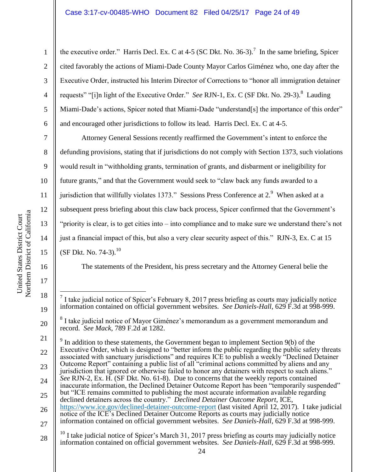the executive order." Harris Decl. Ex. C at 4-5 (SC Dkt. No. 36-3).<sup>7</sup> In the same briefing, Spicer cited favorably the actions of Miami-Dade County Mayor Carlos Giménez who, one day after the Executive Order, instructed his Interim Director of Corrections to "honor all immigration detainer requests" "[i]n light of the Executive Order." *See RJN-1*, Ex. C (SF Dkt. No. 29-3).<sup>8</sup> Lauding Miami-Dade's actions, Spicer noted that Miami-Dade "understand[s] the importance of this order" and encouraged other jurisdictions to follow its lead. Harris Decl. Ex. C at 4-5.

7 8 9 10 11 12 13 14 15 Attorney General Sessions recently reaffirmed the Government's intent to enforce the defunding provisions, stating that if jurisdictions do not comply with Section 1373, such violations would result in "withholding grants, termination of grants, and disbarment or ineligibility for future grants," and that the Government would seek to "claw back any funds awarded to a jurisdiction that willfully violates 1373." Sessions Press Conference at 2.<sup>9</sup> When asked at a subsequent press briefing about this claw back process, Spicer confirmed that the Government's "priority is clear, is to get cities into – into compliance and to make sure we understand there's not just a financial impact of this, but also a very clear security aspect of this." RJN-3, Ex. C at 15 (SF Dkt. No. 74-3). $^{10}$ 

The statements of the President, his press secretary and the Attorney General belie the

21 22 23 24  $9<sup>9</sup>$  In addition to these statements, the Government began to implement Section 9(b) of the Executive Order, which is designed to "better inform the public regarding the public safety threats associated with sanctuary jurisdictions" and requires ICE to publish a weekly "Declined Detainer Outcome Report" containing a public list of all "criminal actions committed by aliens and any jurisdiction that ignored or otherwise failed to honor any detainers with respect to such aliens." *See* RJN-2, Ex. H. (SF Dkt. No. 61-8). Due to concerns that the weekly reports contained inaccurate information, the Declined Detainer Outcome Report has been "temporarily suspended"

- 25 26 but "ICE remains committed to publishing the most accurate information available regarding declined detainers across the country." *Declined Detainer Outcome Report*, ICE, <https://www.ice.gov/declined-detainer-outcome-report> (last visited April 12, 2017). I take judicial notice of the ICE's Declined Detainer Outcome Reports as courts may judicially notice
- 27 information contained on official government websites. *See Daniels-Hall*, 629 F.3d at 998-999.
- 28  $^{10}$  I take judicial notice of Spicer's March 31, 2017 press briefing as courts may judicially notice information contained on official government websites. *See Daniels-Hall*, 629 F.3d at 998-999.

16

17

18

19

20

1

2

3

4

5

 $\overline{a}$ 7 I take judicial notice of Spicer's February 8, 2017 press briefing as courts may judicially notice information contained on official government websites. *See Daniels-Hall*, 629 F.3d at 998-999.

<sup>8</sup> I take judicial notice of Mayor Giménez's memorandum as a government memorandum and record. *See Mack*, 789 F.2d at 1282.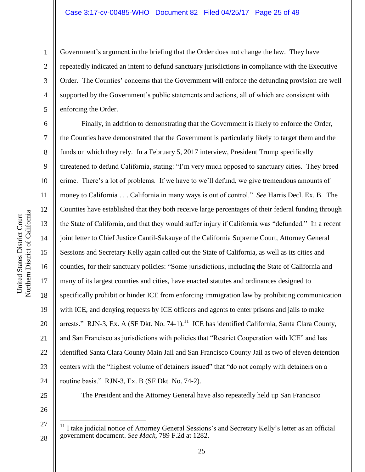#### Case 3:17-cv-00485-WHO Document 82 Filed 04/25/17 Page 25 of 49

Government's argument in the briefing that the Order does not change the law. They have repeatedly indicated an intent to defund sanctuary jurisdictions in compliance with the Executive Order. The Counties' concerns that the Government will enforce the defunding provision are well supported by the Government's public statements and actions, all of which are consistent with enforcing the Order.

Finally, in addition to demonstrating that the Government is likely to enforce the Order, the Counties have demonstrated that the Government is particularly likely to target them and the funds on which they rely. In a February 5, 2017 interview, President Trump specifically threatened to defund California, stating: "I'm very much opposed to sanctuary cities. They breed crime. There's a lot of problems. If we have to we'll defund, we give tremendous amounts of money to California . . . California in many ways is out of control." *See* Harris Decl. Ex. B. The Counties have established that they both receive large percentages of their federal funding through the State of California, and that they would suffer injury if California was "defunded." In a recent joint letter to Chief Justice Cantil-Sakauye of the California Supreme Court, Attorney General Sessions and Secretary Kelly again called out the State of California, as well as its cities and counties, for their sanctuary policies: "Some jurisdictions, including the State of California and many of its largest counties and cities, have enacted statutes and ordinances designed to specifically prohibit or hinder ICE from enforcing immigration law by prohibiting communication with ICE, and denying requests by ICE officers and agents to enter prisons and jails to make arrests." RJN-3, Ex. A (SF Dkt. No. 74-1).<sup>11</sup> ICE has identified California, Santa Clara County, and San Francisco as jurisdictions with policies that "Restrict Cooperation with ICE" and has identified Santa Clara County Main Jail and San Francisco County Jail as two of eleven detention centers with the "highest volume of detainers issued" that "do not comply with detainers on a routine basis." RJN-3, Ex. B (SF Dkt. No. 74-2).

The President and the Attorney General have also repeatedly held up San Francisco

 $11$  I take judicial notice of Attorney General Sessions's and Secretary Kelly's letter as an official government document. *See Mack*, 789 F.2d at 1282.

1

2

3

4

5

6

7

8

9

10

11

12

13

14

15

16

17

18

19

20

21

22

23

24

25

26

27

 $\overline{a}$ 

25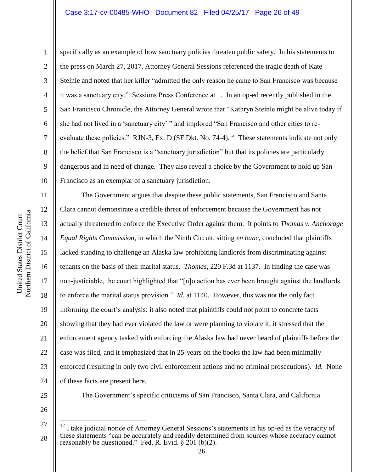#### Case 3:17-cv-00485-WHO Document 82 Filed 04/25/17 Page 26 of 49

Northern District of California Northern District of California United States District Court United States District Court

1

2

3

4

5

8

9

11

12

13

14

15

16

17

18

19

20

21

22

23

24

6 7 10 specifically as an example of how sanctuary policies threaten public safety. In his statements to the press on March 27, 2017, Attorney General Sessions referenced the tragic death of Kate Steinle and noted that her killer "admitted the only reason he came to San Francisco was because it was a sanctuary city." Sessions Press Conference at 1. In an op-ed recently published in the San Francisco Chronicle, the Attorney General wrote that "Kathryn Steinle might be alive today if she had not lived in a 'sanctuary city' " and implored "San Francisco and other cities to reevaluate these policies." RJN-3, Ex. D (SF Dkt. No. 74-4).<sup>12</sup> These statements indicate not only the belief that San Francisco is a "sanctuary jurisdiction" but that its policies are particularly dangerous and in need of change. They also reveal a choice by the Government to hold up San Francisco as an exemplar of a sanctuary jurisdiction.

The Government argues that despite these public statements, San Francisco and Santa Clara cannot demonstrate a credible threat of enforcement because the Government has not actually threatened to enforce the Executive Order against them. It points to *Thomas v. Anchorage Equal Rights Commission*, in which the Ninth Circuit, sitting *en banc*, concluded that plaintiffs lacked standing to challenge an Alaska law prohibiting landlords from discriminating against tenants on the basis of their marital status. *Thomas*, 220 F.3d at 1137. In finding the case was non-justiciable, the court highlighted that "[n]o action has ever been brought against the landlords to enforce the marital status provision." *Id.* at 1140. However, this was not the only fact informing the court's analysis: it also noted that plaintiffs could not point to concrete facts showing that they had ever violated the law or were planning to violate it, it stressed that the enforcement agency tasked with enforcing the Alaska law had never heard of plaintiffs before the case was filed, and it emphasized that in 25-years on the books the law had been minimally enforced (resulting in only two civil enforcement actions and no criminal prosecutions). *Id.* None of these facts are present here.

25

26

 $\overline{a}$ 

The Government's specific criticisms of San Francisco, Santa Clara, and California

<sup>27</sup> 28  $12$  I take judicial notice of Attorney General Sessions's statements in his op-ed as the veracity of these statements "can be accurately and readily determined from sources whose accuracy cannot reasonably be questioned." Fed. R. Evid.  $\S 201$  (b)(2).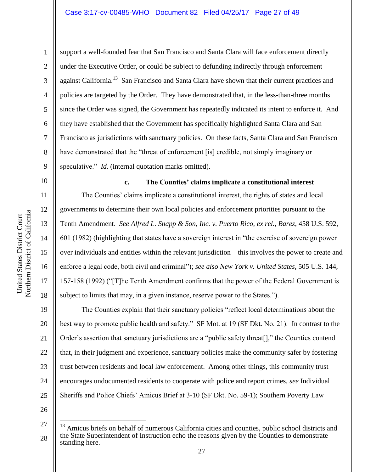1

2

3

4

5

6

7

8

9

10

11

12

13

14

15

16

17

18

19

21

23

support a well-founded fear that San Francisco and Santa Clara will face enforcement directly under the Executive Order, or could be subject to defunding indirectly through enforcement against California.<sup>13</sup> San Francisco and Santa Clara have shown that their current practices and policies are targeted by the Order. They have demonstrated that, in the less-than-three months since the Order was signed, the Government has repeatedly indicated its intent to enforce it. And they have established that the Government has specifically highlighted Santa Clara and San Francisco as jurisdictions with sanctuary policies. On these facts, Santa Clara and San Francisco have demonstrated that the "threat of enforcement [is] credible, not simply imaginary or speculative." *Id.* (internal quotation marks omitted).

**c. The Counties' claims implicate a constitutional interest** The Counties' claims implicate a constitutional interest, the rights of states and local governments to determine their own local policies and enforcement priorities pursuant to the Tenth Amendment. *See Alfred L. Snapp & Son, Inc. v. Puerto Rico, ex rel., Barez*, 458 U.S. 592, 601 (1982) (highlighting that states have a sovereign interest in "the exercise of sovereign power over individuals and entities within the relevant jurisdiction—this involves the power to create and enforce a legal code, both civil and criminal"); *see also New York v. United States*, 505 U.S. 144, 157-158 (1992) ("[T]he Tenth Amendment confirms that the power of the Federal Government is subject to limits that may, in a given instance, reserve power to the States.").

20 22 24 The Counties explain that their sanctuary policies "reflect local determinations about the best way to promote public health and safety." SF Mot. at 19 (SF Dkt. No. 21). In contrast to the Order's assertion that sanctuary jurisdictions are a "public safety threat[]," the Counties contend that, in their judgment and experience, sanctuary policies make the community safer by fostering trust between residents and local law enforcement. Among other things, this community trust encourages undocumented residents to cooperate with police and report crimes, *see* Individual Sheriffs and Police Chiefs' Amicus Brief at 3-10 (SF Dkt. No. 59-1); Southern Poverty Law

26

 $\overline{a}$ 

<sup>27</sup> 28 <sup>13</sup> Amicus briefs on behalf of numerous California cities and counties, public school districts and the State Superintendent of Instruction echo the reasons given by the Counties to demonstrate standing here.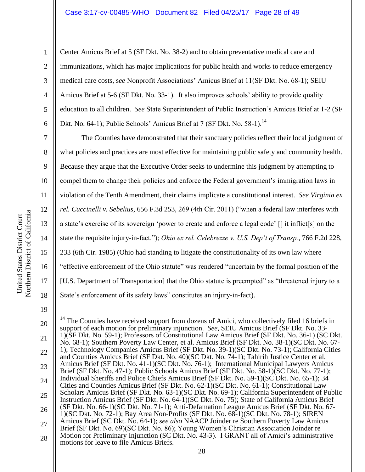Center Amicus Brief at 5 (SF Dkt. No. 38-2) and to obtain preventative medical care and immunizations, which has major implications for public health and works to reduce emergency medical care costs, s*ee* Nonprofit Associations' Amicus Brief at 11(SF Dkt. No. 68-1); SEIU Amicus Brief at 5-6 (SF Dkt. No. 33-1). It also improves schools' ability to provide quality education to all children. *See* State Superintendent of Public Instruction's Amicus Brief at 1-2 (SF Dkt. No. 64-1); Public Schools' Amicus Brief at 7 (SF Dkt. No. 58-1).<sup>14</sup>

The Counties have demonstrated that their sanctuary policies reflect their local judgment of what policies and practices are most effective for maintaining public safety and community health. Because they argue that the Executive Order seeks to undermine this judgment by attempting to compel them to change their policies and enforce the Federal government's immigration laws in violation of the Tenth Amendment, their claims implicate a constitutional interest. *See Virginia ex rel. Cuccinelli v. Sebelius*, 656 F.3d 253, 269 (4th Cir. 2011) ("when a federal law interferes with a state's exercise of its sovereign 'power to create and enforce a legal code' [] it inflict[s] on the state the requisite injury-in-fact."); *Ohio ex rel. Celebrezze v. U.S. Dep't of Transp.*, 766 F.2d 228, 233 (6th Cir. 1985) (Ohio had standing to litigate the constitutionality of its own law where "effective enforcement of the Ohio statute" was rendered "uncertain by the formal position of the [U.S. Department of Transportation] that the Ohio statute is preempted" as "threatened injury to a State's enforcement of its safety laws" constitutes an injury-in-fact).

19

1

2

3

4

5

6

7

8

9

10

11

12

13

14

15

16

17

18

<sup>20</sup> 21 22 23 24 25 26 27 28  $\overline{a}$  $14$  The Counties have received support from dozens of Amici, who collectively filed 16 briefs in support of each motion for preliminary injunction. *See*, SEIU Amicus Brief (SF Dkt. No. 33- 1)(SF Dkt. No. 59-1); Professors of Constitutional Law Amicus Brief (SF Dkt. No. 36-1) (SC Dkt. No. 68-1); Southern Poverty Law Center, et al. Amicus Brief (SF Dkt. No. 38-1)(SC Dkt. No. 67- 1); Technology Companies Amicus Brief (SF Dkt. No. 39-1)(SC Dkt. No. 73-1); California Cities and Counties Amicus Brief (SF Dkt. No. 40)(SC Dkt. No. 74-1); Tahirih Justice Center et al. Amicus Brief (SF Dkt. No. 41-1)(SC Dkt. No. 76-1); International Municipal Lawyers Amicus Brief (SF Dkt. No. 47-1); Public Schools Amicus Brief (SF Dkt. No. 58-1)(SC Dkt. No. 77-1); Individual Sheriffs and Police Chiefs Amicus Brief (SF Dkt. No. 59-1)(SC Dkt. No. 65-1); 34 Cities and Counties Amicus Brief (SF Dkt. No. 62-1)(SC Dkt. No. 61-1); Constitutional Law Scholars Amicus Brief (SF Dkt. No. 63-1)(SC Dkt. No. 69-1); California Superintendent of Public Instruction Amicus Brief (SF Dkt. No. 64-1)(SC Dkt. No. 75); State of California Amicus Brief (SF Dkt. No. 66-1)(SC Dkt. No. 71-1); Anti-Defamation League Amicus Brief (SF Dkt. No. 67- 1)(SC Dkt. No. 72-1); Bay Area Non-Profits (SF Dkt. No. 68-1)(SC Dkt. No. 78-1); SIREN Amicus Brief (SC Dkt. No. 64-1); *see also* NAACP Joinder re Southern Poverty Law Amicus Brief (SF Dkt. No. 69)(SC Dkt. No. 86); Young Women's Christian Association Joinder re Motion for Preliminary Injunction (SC Dkt. No. 43-3). I GRANT all of Amici's administrative motions for leave to file Amicus Briefs.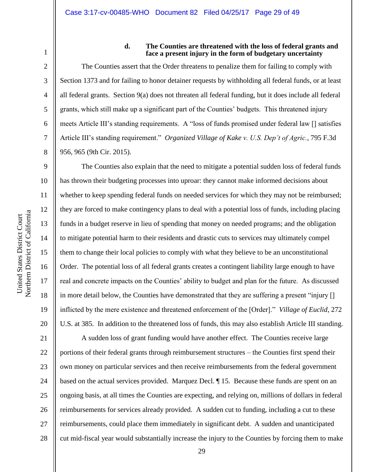1 2

3

4

5

6

7

8

9

10

11

12

13

14

15

16

17

18

19

20

#### **d. The Counties are threatened with the loss of federal grants and face a present injury in the form of budgetary uncertainty**

The Counties assert that the Order threatens to penalize them for failing to comply with Section 1373 and for failing to honor detainer requests by withholding all federal funds, or at least all federal grants. Section 9(a) does not threaten all federal funding, but it does include all federal grants, which still make up a significant part of the Counties' budgets. This threatened injury meets Article III's standing requirements. A "loss of funds promised under federal law [] satisfies Article III's standing requirement." *Organized Village of Kake v. U.S. Dep't of Agric.*, 795 F.3d 956, 965 (9th Cir. 2015).

The Counties also explain that the need to mitigate a potential sudden loss of federal funds has thrown their budgeting processes into uproar: they cannot make informed decisions about whether to keep spending federal funds on needed services for which they may not be reimbursed; they are forced to make contingency plans to deal with a potential loss of funds, including placing funds in a budget reserve in lieu of spending that money on needed programs; and the obligation to mitigate potential harm to their residents and drastic cuts to services may ultimately compel them to change their local policies to comply with what they believe to be an unconstitutional Order. The potential loss of all federal grants creates a contingent liability large enough to have real and concrete impacts on the Counties' ability to budget and plan for the future. As discussed in more detail below, the Counties have demonstrated that they are suffering a present "injury [] inflicted by the mere existence and threatened enforcement of the [Order]." *Village of Euclid*, 272 U.S. at 385. In addition to the threatened loss of funds, this may also establish Article III standing.

21 22 23 24 25 26 27 28 A sudden loss of grant funding would have another effect. The Counties receive large portions of their federal grants through reimbursement structures – the Counties first spend their own money on particular services and then receive reimbursements from the federal government based on the actual services provided. Marquez Decl. ¶ 15. Because these funds are spent on an ongoing basis, at all times the Counties are expecting, and relying on, millions of dollars in federal reimbursements for services already provided. A sudden cut to funding, including a cut to these reimbursements, could place them immediately in significant debt. A sudden and unanticipated cut mid-fiscal year would substantially increase the injury to the Counties by forcing them to make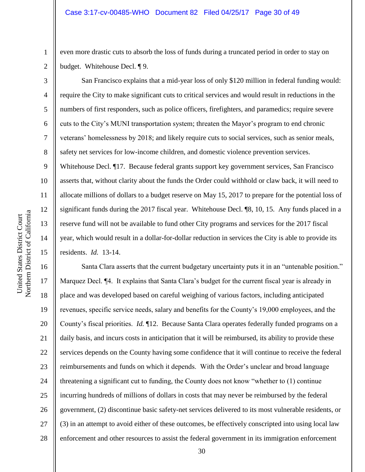even more drastic cuts to absorb the loss of funds during a truncated period in order to stay on budget. Whitehouse Decl. ¶ 9.

San Francisco explains that a mid-year loss of only \$120 million in federal funding would: require the City to make significant cuts to critical services and would result in reductions in the numbers of first responders, such as police officers, firefighters, and paramedics; require severe cuts to the City's MUNI transportation system; threaten the Mayor's program to end chronic veterans' homelessness by 2018; and likely require cuts to social services, such as senior meals, safety net services for low-income children, and domestic violence prevention services. Whitehouse Decl. ¶17. Because federal grants support key government services, San Francisco asserts that, without clarity about the funds the Order could withhold or claw back, it will need to allocate millions of dollars to a budget reserve on May 15, 2017 to prepare for the potential loss of significant funds during the 2017 fiscal year. Whitehouse Decl. ¶8, 10, 15. Any funds placed in a reserve fund will not be available to fund other City programs and services for the 2017 fiscal year, which would result in a dollar-for-dollar reduction in services the City is able to provide its residents. *Id.* 13-14.

16 17 18 19 20 21 22 23 24 25 26 27 28 Santa Clara asserts that the current budgetary uncertainty puts it in an "untenable position." Marquez Decl. ¶4. It explains that Santa Clara's budget for the current fiscal year is already in place and was developed based on careful weighing of various factors, including anticipated revenues, specific service needs, salary and benefits for the County's 19,000 employees, and the County's fiscal priorities. *Id.* ¶12. Because Santa Clara operates federally funded programs on a daily basis, and incurs costs in anticipation that it will be reimbursed, its ability to provide these services depends on the County having some confidence that it will continue to receive the federal reimbursements and funds on which it depends. With the Order's unclear and broad language threatening a significant cut to funding, the County does not know "whether to (1) continue incurring hundreds of millions of dollars in costs that may never be reimbursed by the federal government, (2) discontinue basic safety-net services delivered to its most vulnerable residents, or (3) in an attempt to avoid either of these outcomes, be effectively conscripted into using local law enforcement and other resources to assist the federal government in its immigration enforcement

1

2

3

4

5

6

7

8

9

10

11

12

13

14

15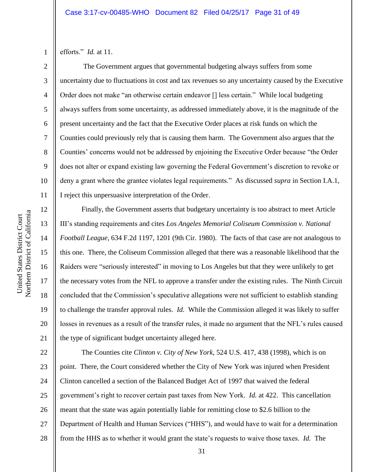efforts." *Id.* at 11.

1

2

3

4

5

6

7

8

9

10

11

12

13

14

15

16

17

18

19

20

21

The Government argues that governmental budgeting always suffers from some uncertainty due to fluctuations in cost and tax revenues so any uncertainty caused by the Executive Order does not make "an otherwise certain endeavor [] less certain." While local budgeting always suffers from some uncertainty, as addressed immediately above, it is the magnitude of the present uncertainty and the fact that the Executive Order places at risk funds on which the Counties could previously rely that is causing them harm. The Government also argues that the Counties' concerns would not be addressed by enjoining the Executive Order because "the Order does not alter or expand existing law governing the Federal Government's discretion to revoke or deny a grant where the grantee violates legal requirements." As discussed *supra* in Section I.A.1, I reject this unpersuasive interpretation of the Order.

Finally, the Government asserts that budgetary uncertainty is too abstract to meet Article III's standing requirements and cites *Los Angeles Memorial Coliseum Commission v. National Football League*, 634 F.2d 1197, 1201 (9th Cir. 1980). The facts of that case are not analogous to this one. There, the Coliseum Commission alleged that there was a reasonable likelihood that the Raiders were "seriously interested" in moving to Los Angeles but that they were unlikely to get the necessary votes from the NFL to approve a transfer under the existing rules. The Ninth Circuit concluded that the Commission's speculative allegations were not sufficient to establish standing to challenge the transfer approval rules. *Id.* While the Commission alleged it was likely to suffer losses in revenues as a result of the transfer rules, it made no argument that the NFL's rules caused the type of significant budget uncertainty alleged here.

22 23 24 25 26 27 28 The Counties cite *Clinton v. City of New York*, 524 U.S. 417, 438 (1998), which is on point. There, the Court considered whether the City of New York was injured when President Clinton cancelled a section of the Balanced Budget Act of 1997 that waived the federal government's right to recover certain past taxes from New York. *Id.* at 422. This cancellation meant that the state was again potentially liable for remitting close to \$2.6 billion to the Department of Health and Human Services ("HHS"), and would have to wait for a determination from the HHS as to whether it would grant the state's requests to waive those taxes. *Id.* The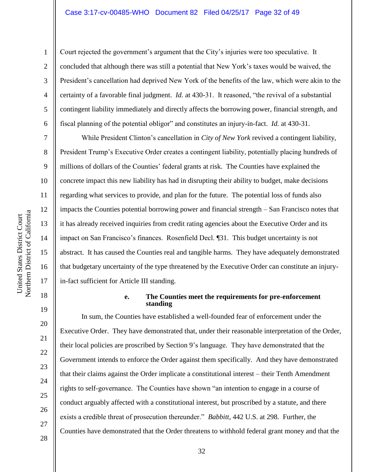#### Case 3:17-cv-00485-WHO Document 82 Filed 04/25/17 Page 32 of 49

Court rejected the government's argument that the City's injuries were too speculative. It concluded that although there was still a potential that New York's taxes would be waived, the President's cancellation had deprived New York of the benefits of the law, which were akin to the certainty of a favorable final judgment. *Id.* at 430-31. It reasoned, "the revival of a substantial contingent liability immediately and directly affects the borrowing power, financial strength, and fiscal planning of the potential obligor" and constitutes an injury-in-fact. *Id.* at 430-31.

While President Clinton's cancellation in *City of New York* revived a contingent liability, President Trump's Executive Order creates a contingent liability, potentially placing hundreds of millions of dollars of the Counties' federal grants at risk. The Counties have explained the concrete impact this new liability has had in disrupting their ability to budget, make decisions regarding what services to provide, and plan for the future. The potential loss of funds also impacts the Counties potential borrowing power and financial strength – San Francisco notes that it has already received inquiries from credit rating agencies about the Executive Order and its impact on San Francisco's finances. Rosenfield Decl. ¶31. This budget uncertainty is not abstract. It has caused the Counties real and tangible harms. They have adequately demonstrated that budgetary uncertainty of the type threatened by the Executive Order can constitute an injuryin-fact sufficient for Article III standing.

#### **e. The Counties meet the requirements for pre-enforcement standing**

In sum, the Counties have established a well-founded fear of enforcement under the Executive Order. They have demonstrated that, under their reasonable interpretation of the Order, their local policies are proscribed by Section 9's language. They have demonstrated that the Government intends to enforce the Order against them specifically. And they have demonstrated that their claims against the Order implicate a constitutional interest – their Tenth Amendment rights to self-governance. The Counties have shown "an intention to engage in a course of conduct arguably affected with a constitutional interest, but proscribed by a statute, and there exists a credible threat of prosecution thereunder." *Babbitt*, 442 U.S. at 298. Further, the Counties have demonstrated that the Order threatens to withhold federal grant money and that the

1

2

3

4

5

6

7

8

9

10

11

12

13

14

15

16

17

18

19

20

21

22

23

24

25

26

27

28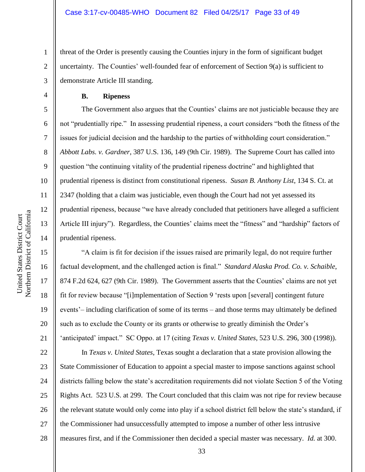threat of the Order is presently causing the Counties injury in the form of significant budget uncertainty. The Counties' well-founded fear of enforcement of Section 9(a) is sufficient to demonstrate Article III standing.

**B. Ripeness**

The Government also argues that the Counties' claims are not justiciable because they are not "prudentially ripe." In assessing prudential ripeness, a court considers "both the fitness of the issues for judicial decision and the hardship to the parties of withholding court consideration." *Abbott Labs. v. Gardner*, 387 U.S. 136, 149 (9th Cir. 1989). The Supreme Court has called into question "the continuing vitality of the prudential ripeness doctrine" and highlighted that prudential ripeness is distinct from constitutional ripeness. *Susan B. Anthony List*, 134 S. Ct. at 2347 (holding that a claim was justiciable, even though the Court had not yet assessed its prudential ripeness, because "we have already concluded that petitioners have alleged a sufficient Article III injury"). Regardless, the Counties' claims meet the "fitness" and "hardship" factors of prudential ripeness.

"A claim is fit for decision if the issues raised are primarily legal, do not require further factual development, and the challenged action is final." *Standard Alaska Prod. Co. v. Schaible*, 874 F.2d 624, 627 (9th Cir. 1989). The Government asserts that the Counties' claims are not yet fit for review because "[i]mplementation of Section 9 'rests upon [several] contingent future events'– including clarification of some of its terms – and those terms may ultimately be defined such as to exclude the County or its grants or otherwise to greatly diminish the Order's 'anticipated' impact." SC Oppo. at 17 (citing *Texas v. United States*, 523 U.S. 296, 300 (1998)).

22 23 24 25 26 27 28 In *Texas v. United States*, Texas sought a declaration that a state provision allowing the State Commissioner of Education to appoint a special master to impose sanctions against school districts falling below the state's accreditation requirements did not violate Section 5 of the Voting Rights Act. 523 U.S. at 299. The Court concluded that this claim was not ripe for review because the relevant statute would only come into play if a school district fell below the state's standard, if the Commissioner had unsuccessfully attempted to impose a number of other less intrusive measures first, and if the Commissioner then decided a special master was necessary. *Id.* at 300.

1

2

3

4

5

6

7

8

9

10

11

12

13

14

15

16

17

18

19

20

21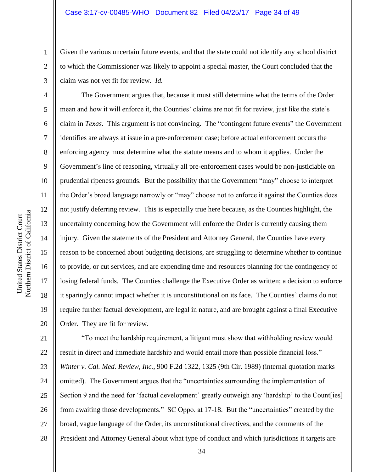Given the various uncertain future events, and that the state could not identify any school district to which the Commissioner was likely to appoint a special master, the Court concluded that the claim was not yet fit for review. *Id.*

The Government argues that, because it must still determine what the terms of the Order mean and how it will enforce it, the Counties' claims are not fit for review, just like the state's claim in *Texas*. This argument is not convincing. The "contingent future events" the Government identifies are always at issue in a pre-enforcement case; before actual enforcement occurs the enforcing agency must determine what the statute means and to whom it applies. Under the Government's line of reasoning, virtually all pre-enforcement cases would be non-justiciable on prudential ripeness grounds. But the possibility that the Government "may" choose to interpret the Order's broad language narrowly or "may" choose not to enforce it against the Counties does not justify deferring review. This is especially true here because, as the Counties highlight, the uncertainty concerning how the Government will enforce the Order is currently causing them injury. Given the statements of the President and Attorney General, the Counties have every reason to be concerned about budgeting decisions, are struggling to determine whether to continue to provide, or cut services, and are expending time and resources planning for the contingency of losing federal funds. The Counties challenge the Executive Order as written; a decision to enforce it sparingly cannot impact whether it is unconstitutional on its face. The Counties' claims do not require further factual development, are legal in nature, and are brought against a final Executive Order. They are fit for review.

21 22 23 24 25 26 27 28 "To meet the hardship requirement, a litigant must show that withholding review would result in direct and immediate hardship and would entail more than possible financial loss." *Winter v. Cal. Med. Review, Inc.*, 900 F.2d 1322, 1325 (9th Cir. 1989) (internal quotation marks omitted). The Government argues that the "uncertainties surrounding the implementation of Section 9 and the need for 'factual development' greatly outweigh any 'hardship' to the Count [ies] from awaiting those developments." SC Oppo. at 17-18. But the "uncertainties" created by the broad, vague language of the Order, its unconstitutional directives, and the comments of the President and Attorney General about what type of conduct and which jurisdictions it targets are

1

2

3

4

5

6

7

8

9

10

11

12

13

14

15

16

17

18

19

20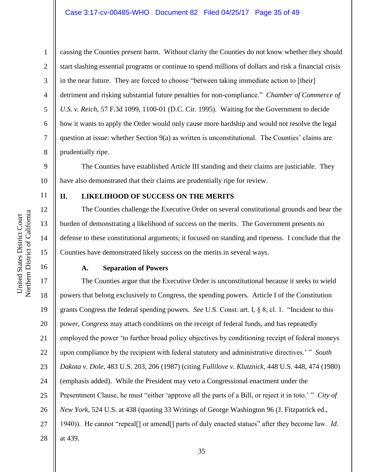## Case 3:17-cv-00485-WHO Document 82 Filed 04/25/17 Page 35 of 49

1 2 3 4 5 6 7 8 causing the Counties present harm. Without clarity the Counties do not know whether they should start slashing essential programs or continue to spend millions of dollars and risk a financial crisis in the near future. They are forced to choose "between taking immediate action to [their] detriment and risking substantial future penalties for non-compliance." *Chamber of Commerce of U.S. v. Reich*, 57 F.3d 1099, 1100-01 (D.C. Cir. 1995). Waiting for the Government to decide how it wants to apply the Order would only cause more hardship and would not resolve the legal question at issue: whether Section 9(a) as written is unconstitutional. The Counties' claims are prudentially ripe.

9 10 The Counties have established Article III standing and their claims are justiciable. They have also demonstrated that their claims are prudentially ripe for review.

11

12

13

14

15

16

### **II. LIKELIHOOD OF SUCCESS ON THE MERITS**

The Counties challenge the Executive Order on several constitutional grounds and bear the burden of demonstrating a likelihood of success on the merits. The Government presents no defense to these constitutional arguments; it focused on standing and ripeness. I conclude that the Counties have demonstrated likely success on the merits in several ways.

#### **A. Separation of Powers**

17 18 19 20 21 22 23 24 25 26 27 28 The Counties argue that the Executive Order is unconstitutional because it seeks to wield powers that belong exclusively to Congress, the spending powers. Article I of the Constitution grants Congress the federal spending powers. *See* U.S. Const. art. I, § 8, cl. 1. "Incident to this power, *Congress* may attach conditions on the receipt of federal funds, and has repeatedly employed the power 'to further broad policy objectives by conditioning receipt of federal moneys upon compliance by the recipient with federal statutory and administrative directives.' " *South Dakota v. Dole*, 483 U.S. 203, 206 (1987) (citing *Fullilove v. Klutznick*, 448 U.S. 448, 474 (1980) (emphasis added). While the President may veto a Congressional enactment under the Presentment Clause, he must "either 'approve all the parts of a Bill, or reject it in toto.' " *City of New York*, 524 U.S. at 438 (quoting 33 Writings of George Washington 96 (J. Fitzpatrick ed., 1940)). He cannot "repeal[] or amend[] parts of duly enacted statues" after they become law. *Id.* at 439.

Northern District of California Northern District of California United States District Court United States District Court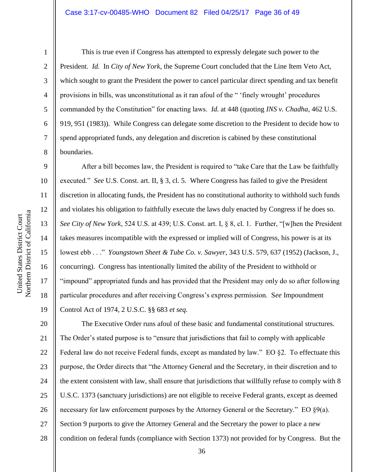## Case 3:17-cv-00485-WHO Document 82 Filed 04/25/17 Page 36 of 49

1

2

3

4

5

6

7

8

9

10

11

12

13

14

15

16

17

18

19

This is true even if Congress has attempted to expressly delegate such power to the President. *Id.* In *City of New York*, the Supreme Court concluded that the Line Item Veto Act, which sought to grant the President the power to cancel particular direct spending and tax benefit provisions in bills, was unconstitutional as it ran afoul of the " 'finely wrought' procedures commanded by the Constitution" for enacting laws. *Id.* at 448 (quoting *INS v. Chadha*, 462 U.S. 919, 951 (1983)). While Congress can delegate some discretion to the President to decide how to spend appropriated funds, any delegation and discretion is cabined by these constitutional boundaries.

After a bill becomes law, the President is required to "take Care that the Law be faithfully executed." *See* U.S. Const. art. II, § 3, cl. 5. Where Congress has failed to give the President discretion in allocating funds, the President has no constitutional authority to withhold such funds and violates his obligation to faithfully execute the laws duly enacted by Congress if he does so. *See City of New York*, 524 U.S. at 439; U.S. Const. art. I, § 8, cl. 1. Further, "[w]hen the President takes measures incompatible with the expressed or implied will of Congress, his power is at its lowest ebb . . ." *Youngstown Sheet & Tube Co. v. Sawyer*, 343 U.S. 579, 637 (1952) (Jackson, J., concurring). Congress has intentionally limited the ability of the President to withhold or "impound" appropriated funds and has provided that the President may only do so after following particular procedures and after receiving Congress's express permission. S*ee* Impoundment Control Act of 1974, 2 U.S.C. §§ 683 *et seq.*

20 21 22 23 24 25 26 27 28 The Executive Order runs afoul of these basic and fundamental constitutional structures. The Order's stated purpose is to "ensure that jurisdictions that fail to comply with applicable Federal law do not receive Federal funds, except as mandated by law." EO §2. To effectuate this purpose, the Order directs that "the Attorney General and the Secretary, in their discretion and to the extent consistent with law, shall ensure that jurisdictions that willfully refuse to comply with 8 U.S.C. 1373 (sanctuary jurisdictions) are not eligible to receive Federal grants, except as deemed necessary for law enforcement purposes by the Attorney General or the Secretary." EO  $\S9(a)$ . Section 9 purports to give the Attorney General and the Secretary the power to place a new condition on federal funds (compliance with Section 1373) not provided for by Congress. But the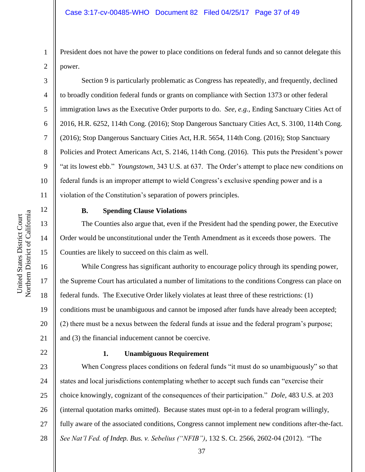President does not have the power to place conditions on federal funds and so cannot delegate this power.

Section 9 is particularly problematic as Congress has repeatedly, and frequently, declined to broadly condition federal funds or grants on compliance with Section 1373 or other federal immigration laws as the Executive Order purports to do. *See, e.g.*, Ending Sanctuary Cities Act of 2016, H.R. 6252, 114th Cong. (2016); Stop Dangerous Sanctuary Cities Act, S. 3100, 114th Cong. (2016); Stop Dangerous Sanctuary Cities Act, H.R. 5654, 114th Cong. (2016); Stop Sanctuary Policies and Protect Americans Act, S. 2146, 114th Cong. (2016). This puts the President's power "at its lowest ebb." *Youngstown*, 343 U.S. at 637. The Order's attempt to place new conditions on federal funds is an improper attempt to wield Congress's exclusive spending power and is a violation of the Constitution's separation of powers principles.

12 13

14

15

17

18

19

21

22

1

2

3

4

5

6

7

8

9

10

11

## **B. Spending Clause Violations**

The Counties also argue that, even if the President had the spending power, the Executive Order would be unconstitutional under the Tenth Amendment as it exceeds those powers. The Counties are likely to succeed on this claim as well.

16 20 While Congress has significant authority to encourage policy through its spending power, the Supreme Court has articulated a number of limitations to the conditions Congress can place on federal funds. The Executive Order likely violates at least three of these restrictions: (1) conditions must be unambiguous and cannot be imposed after funds have already been accepted; (2) there must be a nexus between the federal funds at issue and the federal program's purpose; and (3) the financial inducement cannot be coercive.

#### **1. Unambiguous Requirement**

23 24 25 26 27 When Congress places conditions on federal funds "it must do so unambiguously" so that states and local jurisdictions contemplating whether to accept such funds can "exercise their choice knowingly, cognizant of the consequences of their participation." *Dole*, 483 U.S. at 203 (internal quotation marks omitted). Because states must opt-in to a federal program willingly, fully aware of the associated conditions, Congress cannot implement new conditions after-the-fact. *See Nat'l Fed. of Indep. Bus. v. Sebelius ("NFIB")*, 132 S. Ct. 2566, 2602-04 (2012). "The

Northern District of California Northern District of California United States District Court United States District Court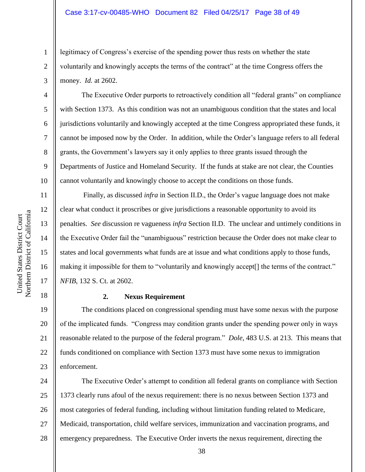#### Case 3:17-cv-00485-WHO Document 82 Filed 04/25/17 Page 38 of 49

legitimacy of Congress's exercise of the spending power thus rests on whether the state voluntarily and knowingly accepts the terms of the contract" at the time Congress offers the money. *Id.* at 2602.

The Executive Order purports to retroactively condition all "federal grants" on compliance with Section 1373. As this condition was not an unambiguous condition that the states and local jurisdictions voluntarily and knowingly accepted at the time Congress appropriated these funds, it cannot be imposed now by the Order. In addition, while the Order's language refers to all federal grants, the Government's lawyers say it only applies to three grants issued through the Departments of Justice and Homeland Security. If the funds at stake are not clear, the Counties cannot voluntarily and knowingly choose to accept the conditions on those funds.

Finally, as discussed *infra* in Section II.D., the Order's vague language does not make clear what conduct it proscribes or give jurisdictions a reasonable opportunity to avoid its penalties. *See* discussion re vagueness *infra* Section II.D. The unclear and untimely conditions in the Executive Order fail the "unambiguous" restriction because the Order does not make clear to states and local governments what funds are at issue and what conditions apply to those funds, making it impossible for them to "voluntarily and knowingly accept[] the terms of the contract." *NFIB*, 132 S. Ct. at 2602.

#### **2. Nexus Requirement**

19 20 21 22 23 The conditions placed on congressional spending must have some nexus with the purpose of the implicated funds. "Congress may condition grants under the spending power only in ways reasonable related to the purpose of the federal program." *Dole*, 483 U.S. at 213. This means that funds conditioned on compliance with Section 1373 must have some nexus to immigration enforcement.

24 25 26 27 28 The Executive Order's attempt to condition all federal grants on compliance with Section 1373 clearly runs afoul of the nexus requirement: there is no nexus between Section 1373 and most categories of federal funding, including without limitation funding related to Medicare, Medicaid, transportation, child welfare services, immunization and vaccination programs, and emergency preparedness. The Executive Order inverts the nexus requirement, directing the

1

2

3

4

5

6

7

8

9

10

11

12

13

14

15

16

17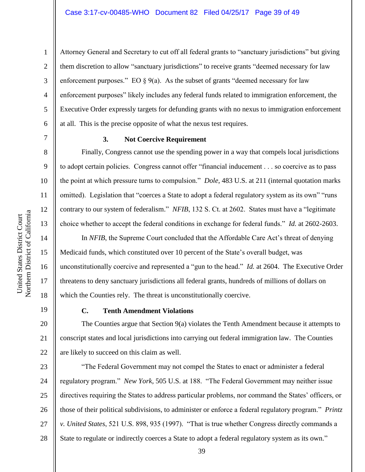1

Attorney General and Secretary to cut off all federal grants to "sanctuary jurisdictions" but giving them discretion to allow "sanctuary jurisdictions" to receive grants "deemed necessary for law enforcement purposes." EO  $\S 9(a)$ . As the subset of grants "deemed necessary for law enforcement purposes" likely includes any federal funds related to immigration enforcement, the Executive Order expressly targets for defunding grants with no nexus to immigration enforcement at all. This is the precise opposite of what the nexus test requires.

8

9

10

11

12

13

14

15

16

17

18

20

21

22

### **3. Not Coercive Requirement**

Finally, Congress cannot use the spending power in a way that compels local jurisdictions to adopt certain policies. Congress cannot offer "financial inducement . . . so coercive as to pass the point at which pressure turns to compulsion." *Dole*, 483 U.S. at 211 (internal quotation marks omitted). Legislation that "coerces a State to adopt a federal regulatory system as its own" "runs contrary to our system of federalism." *NFIB*, 132 S. Ct. at 2602. States must have a "legitimate choice whether to accept the federal conditions in exchange for federal funds." *Id.* at 2602-2603.

In *NFIB*, the Supreme Court concluded that the Affordable Care Act's threat of denying Medicaid funds, which constituted over 10 percent of the State's overall budget, was unconstitutionally coercive and represented a "gun to the head." *Id.* at 2604. The Executive Order threatens to deny sanctuary jurisdictions all federal grants, hundreds of millions of dollars on which the Counties rely. The threat is unconstitutionally coercive.

19

#### **C. Tenth Amendment Violations**

The Counties argue that Section 9(a) violates the Tenth Amendment because it attempts to conscript states and local jurisdictions into carrying out federal immigration law. The Counties are likely to succeed on this claim as well.

23 24 25 26 27 28 "The Federal Government may not compel the States to enact or administer a federal regulatory program." *New York*, 505 U.S. at 188. "The Federal Government may neither issue directives requiring the States to address particular problems, nor command the States' officers, or those of their political subdivisions, to administer or enforce a federal regulatory program." *Printz v. United States*, 521 U.S. 898, 935 (1997). "That is true whether Congress directly commands a State to regulate or indirectly coerces a State to adopt a federal regulatory system as its own."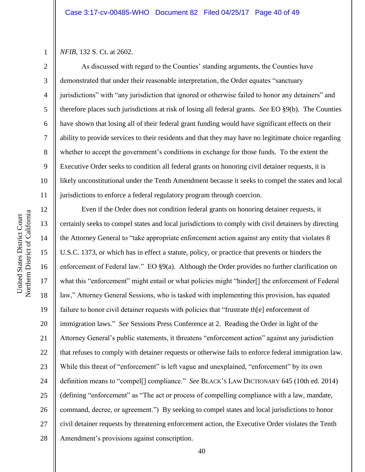*NFIB*, 132 S. Ct. at 2602.

1

2

3

4

5

6

7

8

9

10

11

As discussed with regard to the Counties' standing arguments, the Counties have demonstrated that under their reasonable interpretation, the Order equates "sanctuary jurisdictions" with "any jurisdiction that ignored or otherwise failed to honor any detainers" and therefore places such jurisdictions at risk of losing all federal grants. *See* EO §9(b). The Counties have shown that losing all of their federal grant funding would have significant effects on their ability to provide services to their residents and that they may have no legitimate choice regarding whether to accept the government's conditions in exchange for those funds. To the extent the Executive Order seeks to condition all federal grants on honoring civil detainer requests, it is likely unconstitutional under the Tenth Amendment because it seeks to compel the states and local jurisdictions to enforce a federal regulatory program through coercion.

12 13 14 15 16 17 18 19 20 21 22 23 24 25 26 27 28 Even if the Order does not condition federal grants on honoring detainer requests, it certainly seeks to compel states and local jurisdictions to comply with civil detainers by directing the Attorney General to "take appropriate enforcement action against any entity that violates 8 U.S.C. 1373, or which has in effect a statute, policy, or practice that prevents or hinders the enforcement of Federal law." EO  $\S9(a)$ . Although the Order provides no further clarification on what this "enforcement" might entail or what policies might "hinder[] the enforcement of Federal law," Attorney General Sessions, who is tasked with implementing this provision, has equated failure to honor civil detainer requests with policies that "frustrate the electron of immigration laws." *See* Sessions Press Conference at 2. Reading the Order in light of the Attorney General's public statements, it threatens "enforcement action" against any jurisdiction that refuses to comply with detainer requests or otherwise fails to enforce federal immigration law. While this threat of "enforcement" is left vague and unexplained, "enforcement" by its own definition means to "compel[] compliance." *See* BLACK'S LAW DICTIONARY 645 (10th ed. 2014) (defining "enforcement" as "The act or process of compelling compliance with a law, mandate, command, decree, or agreement.") By seeking to compel states and local jurisdictions to honor civil detainer requests by threatening enforcement action, the Executive Order violates the Tenth Amendment's provisions against conscription.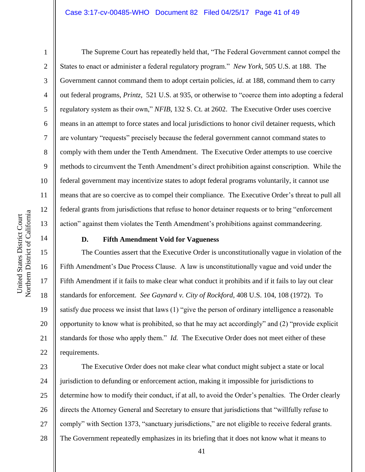#### Case 3:17-cv-00485-WHO Document 82 Filed 04/25/17 Page 41 of 49

1

2

3

4

5

6

7

8

9

10

11

12

13

14

15

16

17

18

19

20

21

22

The Supreme Court has repeatedly held that, "The Federal Government cannot compel the States to enact or administer a federal regulatory program." *New York*, 505 U.S. at 188. The Government cannot command them to adopt certain policies, *id.* at 188, command them to carry out federal programs, *Printz*, 521 U.S. at 935, or otherwise to "coerce them into adopting a federal regulatory system as their own," *NFIB*, 132 S. Ct. at 2602. The Executive Order uses coercive means in an attempt to force states and local jurisdictions to honor civil detainer requests, which are voluntary "requests" precisely because the federal government cannot command states to comply with them under the Tenth Amendment. The Executive Order attempts to use coercive methods to circumvent the Tenth Amendment's direct prohibition against conscription. While the federal government may incentivize states to adopt federal programs voluntarily, it cannot use means that are so coercive as to compel their compliance. The Executive Order's threat to pull all federal grants from jurisdictions that refuse to honor detainer requests or to bring "enforcement action" against them violates the Tenth Amendment's prohibitions against commandeering.

## **D. Fifth Amendment Void for Vagueness**

The Counties assert that the Executive Order is unconstitutionally vague in violation of the Fifth Amendment's Due Process Clause. A law is unconstitutionally vague and void under the Fifth Amendment if it fails to make clear what conduct it prohibits and if it fails to lay out clear standards for enforcement. *See Gaynard v. City of Rockford*, 408 U.S. 104, 108 (1972). To satisfy due process we insist that laws (1) "give the person of ordinary intelligence a reasonable opportunity to know what is prohibited, so that he may act accordingly" and (2) "provide explicit standards for those who apply them." *Id.* The Executive Order does not meet either of these requirements.

23 24 25 26 27 28 The Executive Order does not make clear what conduct might subject a state or local jurisdiction to defunding or enforcement action, making it impossible for jurisdictions to determine how to modify their conduct, if at all, to avoid the Order's penalties. The Order clearly directs the Attorney General and Secretary to ensure that jurisdictions that "willfully refuse to comply" with Section 1373, "sanctuary jurisdictions," are not eligible to receive federal grants. The Government repeatedly emphasizes in its briefing that it does not know what it means to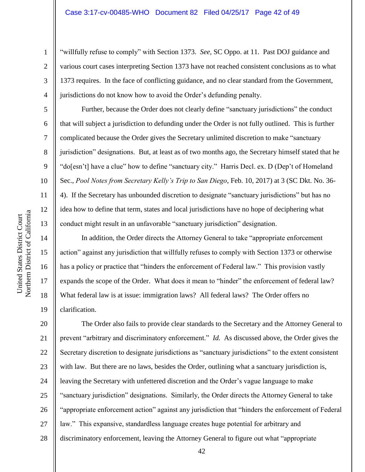"willfully refuse to comply" with Section 1373. *See,* SC Oppo. at 11. Past DOJ guidance and various court cases interpreting Section 1373 have not reached consistent conclusions as to what 1373 requires. In the face of conflicting guidance, and no clear standard from the Government, jurisdictions do not know how to avoid the Order's defunding penalty.

Further, because the Order does not clearly define "sanctuary jurisdictions" the conduct that will subject a jurisdiction to defunding under the Order is not fully outlined. This is further complicated because the Order gives the Secretary unlimited discretion to make "sanctuary jurisdiction" designations. But, at least as of two months ago, the Secretary himself stated that he "do[esn't] have a clue" how to define "sanctuary city." Harris Decl. ex. D (Dep't of Homeland Sec., *Pool Notes from Secretary Kelly's Trip to San Diego*, Feb. 10, 2017) at 3 (SC Dkt. No. 36- 4). If the Secretary has unbounded discretion to designate "sanctuary jurisdictions" but has no idea how to define that term, states and local jurisdictions have no hope of deciphering what conduct might result in an unfavorable "sanctuary jurisdiction" designation.

In addition, the Order directs the Attorney General to take "appropriate enforcement action" against any jurisdiction that willfully refuses to comply with Section 1373 or otherwise has a policy or practice that "hinders the enforcement of Federal law." This provision vastly expands the scope of the Order. What does it mean to "hinder" the enforcement of federal law? What federal law is at issue: immigration laws? All federal laws? The Order offers no clarification.

20 21 22 23 24 25 26 27 28 The Order also fails to provide clear standards to the Secretary and the Attorney General to prevent "arbitrary and discriminatory enforcement." *Id.* As discussed above, the Order gives the Secretary discretion to designate jurisdictions as "sanctuary jurisdictions" to the extent consistent with law. But there are no laws, besides the Order, outlining what a sanctuary jurisdiction is, leaving the Secretary with unfettered discretion and the Order's vague language to make "sanctuary jurisdiction" designations. Similarly, the Order directs the Attorney General to take "appropriate enforcement action" against any jurisdiction that "hinders the enforcement of Federal law." This expansive, standardless language creates huge potential for arbitrary and discriminatory enforcement, leaving the Attorney General to figure out what "appropriate

1

2

3

4

5

6

7

8

9

10

11

12

13

14

15

16

17

18

19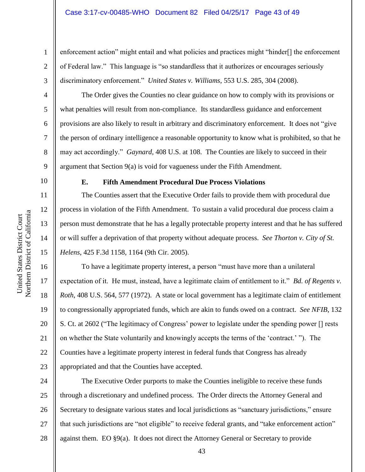enforcement action" might entail and what policies and practices might "hinder[] the enforcement of Federal law." This language is "so standardless that it authorizes or encourages seriously discriminatory enforcement." *United States v. Williams*, 553 U.S. 285, 304 (2008).

The Order gives the Counties no clear guidance on how to comply with its provisions or what penalties will result from non-compliance. Its standardless guidance and enforcement provisions are also likely to result in arbitrary and discriminatory enforcement. It does not "give the person of ordinary intelligence a reasonable opportunity to know what is prohibited, so that he may act accordingly." *Gaynard*, 408 U.S. at 108. The Counties are likely to succeed in their argument that Section 9(a) is void for vagueness under the Fifth Amendment.

10

1

2

3

4

5

6

7

8

9

11

12

13

14

15

16

17

18

19

20

21

22

23

#### **E. Fifth Amendment Procedural Due Process Violations**

The Counties assert that the Executive Order fails to provide them with procedural due process in violation of the Fifth Amendment. To sustain a valid procedural due process claim a person must demonstrate that he has a legally protectable property interest and that he has suffered or will suffer a deprivation of that property without adequate process. *See Thorton v. City of St. Helens*, 425 F.3d 1158, 1164 (9th Cir. 2005).

To have a legitimate property interest, a person "must have more than a unilateral expectation of it. He must, instead, have a legitimate claim of entitlement to it." *Bd. of Regents v. Roth*, 408 U.S. 564, 577 (1972). A state or local government has a legitimate claim of entitlement to congressionally appropriated funds, which are akin to funds owed on a contract. *See NFIB*, 132 S. Ct. at 2602 ("The legitimacy of Congress' power to legislate under the spending power [] rests on whether the State voluntarily and knowingly accepts the terms of the 'contract.' "). The Counties have a legitimate property interest in federal funds that Congress has already appropriated and that the Counties have accepted.

24 25 26 27 28 The Executive Order purports to make the Counties ineligible to receive these funds through a discretionary and undefined process. The Order directs the Attorney General and Secretary to designate various states and local jurisdictions as "sanctuary jurisdictions," ensure that such jurisdictions are "not eligible" to receive federal grants, and "take enforcement action" against them. EO §9(a). It does not direct the Attorney General or Secretary to provide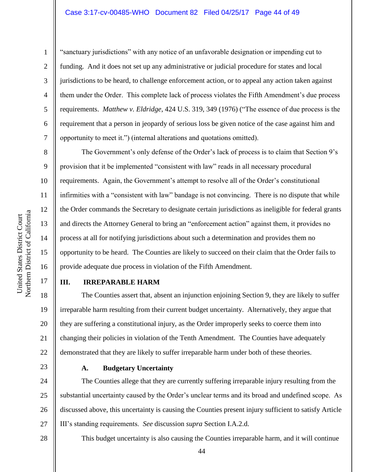#### Case 3:17-cv-00485-WHO Document 82 Filed 04/25/17 Page 44 of 49

1

2

3

4

5

6

7

8

9

10

11

12

13

14

15

16

17

"sanctuary jurisdictions" with any notice of an unfavorable designation or impending cut to funding. And it does not set up any administrative or judicial procedure for states and local jurisdictions to be heard, to challenge enforcement action, or to appeal any action taken against them under the Order. This complete lack of process violates the Fifth Amendment's due process requirements. *Matthew v. Eldridge*, 424 U.S. 319, 349 (1976) ("The essence of due process is the requirement that a person in jeopardy of serious loss be given notice of the case against him and opportunity to meet it.") (internal alterations and quotations omitted).

The Government's only defense of the Order's lack of process is to claim that Section 9's provision that it be implemented "consistent with law" reads in all necessary procedural requirements. Again, the Government's attempt to resolve all of the Order's constitutional infirmities with a "consistent with law" bandage is not convincing. There is no dispute that while the Order commands the Secretary to designate certain jurisdictions as ineligible for federal grants and directs the Attorney General to bring an "enforcement action" against them, it provides no process at all for notifying jurisdictions about such a determination and provides them no opportunity to be heard. The Counties are likely to succeed on their claim that the Order fails to provide adequate due process in violation of the Fifth Amendment.

#### **III. IRREPARABLE HARM**

18 19 20 21 22 The Counties assert that, absent an injunction enjoining Section 9, they are likely to suffer irreparable harm resulting from their current budget uncertainty. Alternatively, they argue that they are suffering a constitutional injury, as the Order improperly seeks to coerce them into changing their policies in violation of the Tenth Amendment. The Counties have adequately demonstrated that they are likely to suffer irreparable harm under both of these theories.

23

## **A. Budgetary Uncertainty**

24 25 26 27 The Counties allege that they are currently suffering irreparable injury resulting from the substantial uncertainty caused by the Order's unclear terms and its broad and undefined scope. As discussed above, this uncertainty is causing the Counties present injury sufficient to satisfy Article III's standing requirements. *See* discussion *supra* Section I.A.2.d.

28

This budget uncertainty is also causing the Counties irreparable harm, and it will continue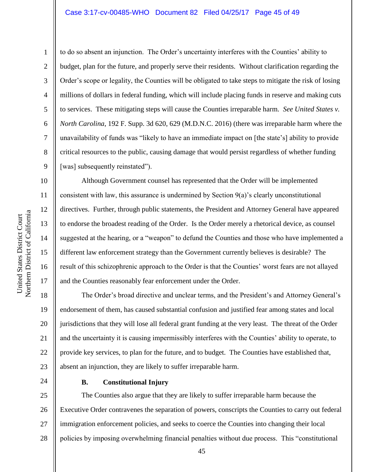#### Case 3:17-cv-00485-WHO Document 82 Filed 04/25/17 Page 45 of 49

Northern District of California Northern District of California United States District Court

United States District Court

1

2

3

4

5

6

7

8

9

10

11

12

13

14

15

16

17

to do so absent an injunction. The Order's uncertainty interferes with the Counties' ability to budget, plan for the future, and properly serve their residents. Without clarification regarding the Order's scope or legality, the Counties will be obligated to take steps to mitigate the risk of losing millions of dollars in federal funding, which will include placing funds in reserve and making cuts to services. These mitigating steps will cause the Counties irreparable harm. *See United States v. North Carolina*, 192 F. Supp. 3d 620, 629 (M.D.N.C. 2016) (there was irreparable harm where the unavailability of funds was "likely to have an immediate impact on [the state's] ability to provide critical resources to the public, causing damage that would persist regardless of whether funding [was] subsequently reinstated").

Although Government counsel has represented that the Order will be implemented consistent with law, this assurance is undermined by Section 9(a)'s clearly unconstitutional directives. Further, through public statements, the President and Attorney General have appeared to endorse the broadest reading of the Order. Is the Order merely a rhetorical device, as counsel suggested at the hearing, or a "weapon" to defund the Counties and those who have implemented a different law enforcement strategy than the Government currently believes is desirable? The result of this schizophrenic approach to the Order is that the Counties' worst fears are not allayed and the Counties reasonably fear enforcement under the Order.

18 19 20 21 22 23 The Order's broad directive and unclear terms, and the President's and Attorney General's endorsement of them, has caused substantial confusion and justified fear among states and local jurisdictions that they will lose all federal grant funding at the very least. The threat of the Order and the uncertainty it is causing impermissibly interferes with the Counties' ability to operate, to provide key services, to plan for the future, and to budget. The Counties have established that, absent an injunction, they are likely to suffer irreparable harm.

24

#### **B. Constitutional Injury**

25 26 27 28 The Counties also argue that they are likely to suffer irreparable harm because the Executive Order contravenes the separation of powers, conscripts the Counties to carry out federal immigration enforcement policies, and seeks to coerce the Counties into changing their local policies by imposing overwhelming financial penalties without due process. This "constitutional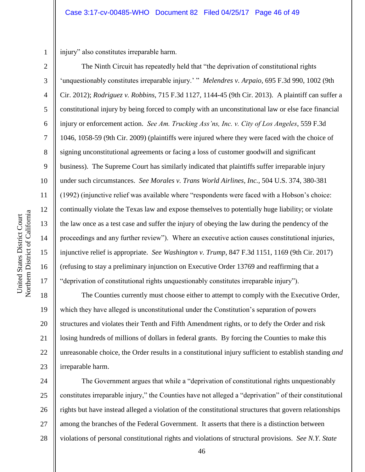1 2

3

4

5

6

7

8

9

10

11

12

13

14

15

16

17

injury" also constitutes irreparable harm.

The Ninth Circuit has repeatedly held that "the deprivation of constitutional rights 'unquestionably constitutes irreparable injury.' " *Melendres v. Arpaio*, 695 F.3d 990, 1002 (9th Cir. 2012); *Rodriguez v. Robbins*, 715 F.3d 1127, 1144-45 (9th Cir. 2013). A plaintiff can suffer a constitutional injury by being forced to comply with an unconstitutional law or else face financial injury or enforcement action. *See Am. Trucking Ass'ns, Inc. v. City of Los Angeles*, 559 F.3d 1046, 1058-59 (9th Cir. 2009) (plaintiffs were injured where they were faced with the choice of signing unconstitutional agreements or facing a loss of customer goodwill and significant business). The Supreme Court has similarly indicated that plaintiffs suffer irreparable injury under such circumstances. *See Morales v. Trans World Airlines, Inc.*, 504 U.S. 374, 380-381 (1992) (injunctive relief was available where "respondents were faced with a Hobson's choice: continually violate the Texas law and expose themselves to potentially huge liability; or violate the law once as a test case and suffer the injury of obeying the law during the pendency of the proceedings and any further review"). Where an executive action causes constitutional injuries, injunctive relief is appropriate. *See Washington v. Trump*, 847 F.3d 1151, 1169 (9th Cir. 2017) (refusing to stay a preliminary injunction on Executive Order 13769 and reaffirming that a "deprivation of constitutional rights unquestionably constitutes irreparable injury").

18 19 20 21 22 23 The Counties currently must choose either to attempt to comply with the Executive Order, which they have alleged is unconstitutional under the Constitution's separation of powers structures and violates their Tenth and Fifth Amendment rights, or to defy the Order and risk losing hundreds of millions of dollars in federal grants. By forcing the Counties to make this unreasonable choice, the Order results in a constitutional injury sufficient to establish standing *and* irreparable harm.

24 25 26 27 28 The Government argues that while a "deprivation of constitutional rights unquestionably constitutes irreparable injury," the Counties have not alleged a "deprivation" of their constitutional rights but have instead alleged a violation of the constitutional structures that govern relationships among the branches of the Federal Government. It asserts that there is a distinction between violations of personal constitutional rights and violations of structural provisions. *See N.Y. State*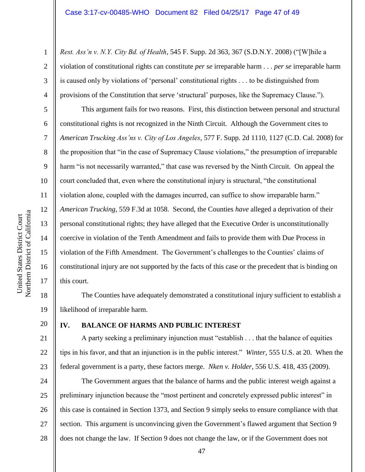*Rest. Ass'n v. N.Y. City Bd. of Health*, 545 F. Supp. 2d 363, 367 (S.D.N.Y. 2008) ("[W]hile a violation of constitutional rights can constitute *per se* irreparable harm . . . *per se* irreparable harm is caused only by violations of 'personal' constitutional rights . . . to be distinguished from provisions of the Constitution that serve 'structural' purposes, like the Supremacy Clause.").

This argument fails for two reasons. First, this distinction between personal and structural constitutional rights is not recognized in the Ninth Circuit. Although the Government cites to *American Trucking Ass'ns v. City of Los Angeles*, 577 F. Supp. 2d 1110, 1127 (C.D. Cal. 2008) for the proposition that "in the case of Supremacy Clause violations," the presumption of irreparable harm "is not necessarily warranted," that case was reversed by the Ninth Circuit. On appeal the court concluded that, even where the constitutional injury is structural, "the constitutional violation alone, coupled with the damages incurred, can suffice to show irreparable harm." *American Trucking*, 559 F.3d at 1058. Second, the Counties *have* alleged a deprivation of their personal constitutional rights; they have alleged that the Executive Order is unconstitutionally coercive in violation of the Tenth Amendment and fails to provide them with Due Process in violation of the Fifth Amendment. The Government's challenges to the Counties' claims of constitutional injury are not supported by the facts of this case or the precedent that is binding on this court.

18 19 The Counties have adequately demonstrated a constitutional injury sufficient to establish a likelihood of irreparable harm.

## 20 21

22

23

1

2

3

4

5

6

7

8

9

10

11

12

13

14

15

16

17

## **IV. BALANCE OF HARMS AND PUBLIC INTEREST**

A party seeking a preliminary injunction must "establish . . . that the balance of equities tips in his favor, and that an injunction is in the public interest." *Winter*, 555 U.S. at 20. When the federal government is a party, these factors merge. *Nken v. Holder*, 556 U.S. 418, 435 (2009).

24 25 26 27 28 The Government argues that the balance of harms and the public interest weigh against a preliminary injunction because the "most pertinent and concretely expressed public interest" in this case is contained in Section 1373, and Section 9 simply seeks to ensure compliance with that section. This argument is unconvincing given the Government's flawed argument that Section 9 does not change the law. If Section 9 does not change the law, or if the Government does not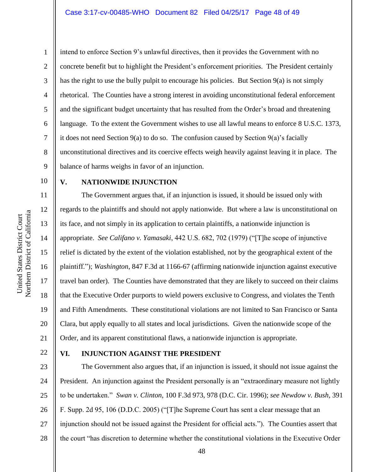1 2 3 4 5 6 7 8 9 10 intend to enforce Section 9's unlawful directives, then it provides the Government with no concrete benefit but to highlight the President's enforcement priorities. The President certainly has the right to use the bully pulpit to encourage his policies. But Section 9(a) is not simply rhetorical. The Counties have a strong interest in avoiding unconstitutional federal enforcement and the significant budget uncertainty that has resulted from the Order's broad and threatening language. To the extent the Government wishes to use all lawful means to enforce 8 U.S.C. 1373, it does not need Section 9(a) to do so. The confusion caused by Section 9(a)'s facially unconstitutional directives and its coercive effects weigh heavily against leaving it in place. The balance of harms weighs in favor of an injunction. **V. NATIONWIDE INJUNCTION**

The Government argues that, if an injunction is issued, it should be issued only with regards to the plaintiffs and should not apply nationwide. But where a law is unconstitutional on its face, and not simply in its application to certain plaintiffs, a nationwide injunction is appropriate. *See Califano v. Yamasaki*, 442 U.S. 682, 702 (1979) ("[T]he scope of injunctive relief is dictated by the extent of the violation established, not by the geographical extent of the plaintiff."); *Washington*, 847 F.3d at 1166-67 (affirming nationwide injunction against executive travel ban order). The Counties have demonstrated that they are likely to succeed on their claims that the Executive Order purports to wield powers exclusive to Congress, and violates the Tenth and Fifth Amendments. These constitutional violations are not limited to San Francisco or Santa Clara, but apply equally to all states and local jurisdictions. Given the nationwide scope of the Order, and its apparent constitutional flaws, a nationwide injunction is appropriate.

22

### **VI. INJUNCTION AGAINST THE PRESIDENT**

23 24 25 26 27 28 The Government also argues that, if an injunction is issued, it should not issue against the President. An injunction against the President personally is an "extraordinary measure not lightly to be undertaken." *Swan v. Clinton*, 100 F.3d 973, 978 (D.C. Cir. 1996); *see Newdow v. Bush*, 391 F. Supp. 2d 95, 106 (D.D.C. 2005) ("[T]he Supreme Court has sent a clear message that an injunction should not be issued against the President for official acts."). The Counties assert that the court "has discretion to determine whether the constitutional violations in the Executive Order

11

12

13

14

15

16

17

18

19

20